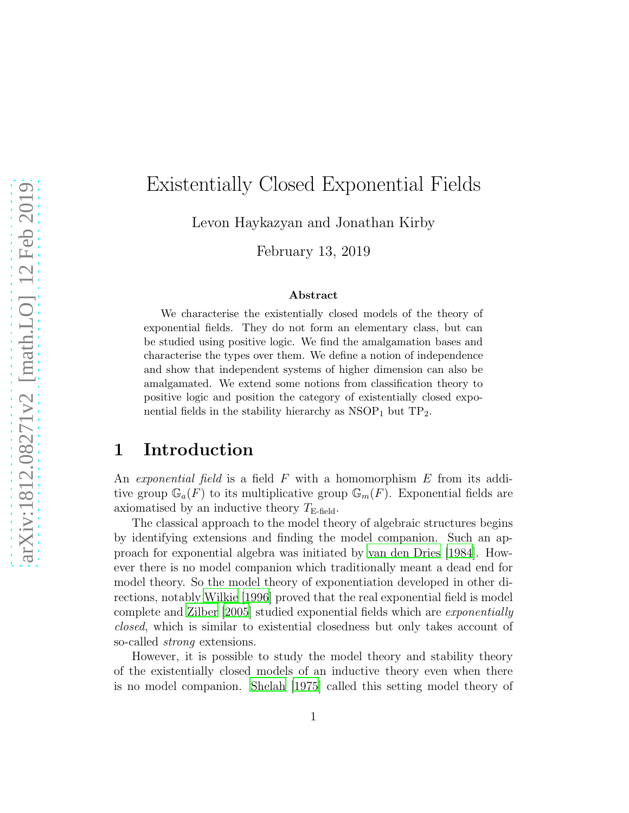# Existentially Closed Exponential Fields

Levon Haykazyan and Jonathan Kirby

February 13, 2019

#### Abstract

We characterise the existentially closed models of the theory of exponential fields. They do not form an elementary class, but can be studied using positive logic. We find the amalgamation bases and characterise the types over them. We define a notion of independence and show that independent systems of higher dimension can also be amalgamated. We extend some notions from classification theory to positive logic and position the category of existentially closed exponential fields in the stability hierarchy as  $NSOP<sub>1</sub>$  but  $TP<sub>2</sub>$ .

### 1 Introduction

An *exponential field* is a field F with a homomorphism E from its additive group  $\mathbb{G}_a(F)$  to its multiplicative group  $\mathbb{G}_m(F)$ . Exponential fields are axiomatised by an inductive theory  $T_{\text{E-field}}$ .

The classical approach to the model theory of algebraic structures begins by identifying extensions and finding the model companion. Such an approach for exponential algebra was initiated by [van den Dries \[1984\]](#page-28-0). However there is no model companion which traditionally meant a dead end for model theory. So the model theory of exponentiation developed in other directions, notably [Wilkie \[1996\]](#page-28-1) proved that the real exponential field is model complete and [Zilber \[2005](#page-28-2)] studied exponential fields which are *exponentially closed*, which is similar to existential closedness but only takes account of so-called *strong* extensions.

However, it is possible to study the model theory and stability theory of the existentially closed models of an inductive theory even when there is no model companion. [Shelah \[1975\]](#page-28-3) called this setting model theory of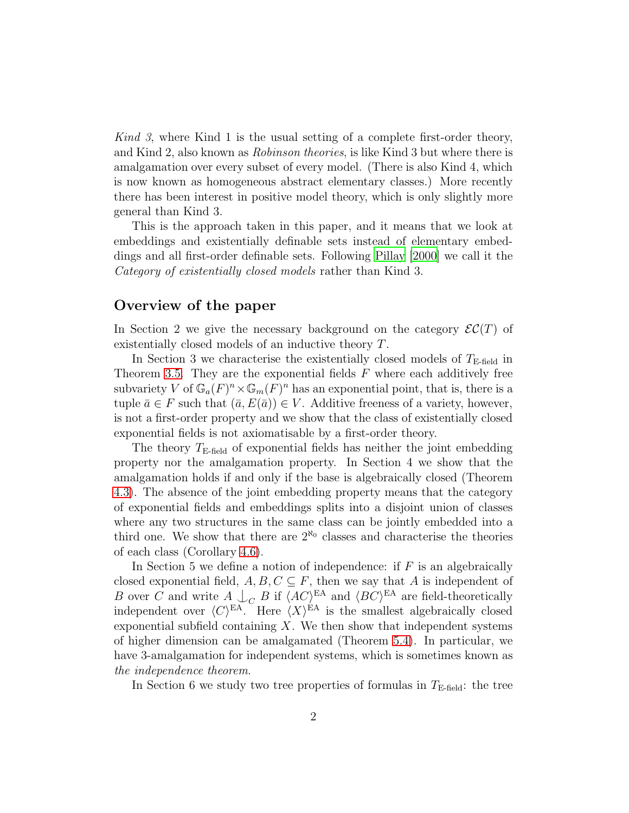*Kind 3*, where Kind 1 is the usual setting of a complete first-order theory, and Kind 2, also known as *Robinson theories*, is like Kind 3 but where there is amalgamation over every subset of every model. (There is also Kind 4, which is now known as homogeneous abstract elementary classes.) More recently there has been interest in positive model theory, which is only slightly more general than Kind 3.

This is the approach taken in this paper, and it means that we look at embeddings and existentially definable sets instead of elementary embeddings and all first-order definable sets. Following [Pillay \[2000](#page-28-4)] we call it the *Category of existentially closed models* rather than Kind 3.

#### Overview of the paper

In Section 2 we give the necessary background on the category  $\mathcal{EC}(T)$  of existentially closed models of an inductive theory T.

In Section 3 we characterise the existentially closed models of  $T_{\text{E-field}}$  in Theorem [3.5.](#page-9-0) They are the exponential fields  $F$  where each additively free subvariety V of  $\mathbb{G}_a(F)^n \times \mathbb{G}_m(F)^n$  has an exponential point, that is, there is a tuple  $\bar{a} \in F$  such that  $(\bar{a}, E(\bar{a})) \in V$ . Additive freeness of a variety, however, is not a first-order property and we show that the class of existentially closed exponential fields is not axiomatisable by a first-order theory.

The theory  $T_{\text{E-field}}$  of exponential fields has neither the joint embedding property nor the amalgamation property. In Section 4 we show that the amalgamation holds if and only if the base is algebraically closed (Theorem [4.3\)](#page-12-0). The absence of the joint embedding property means that the category of exponential fields and embeddings splits into a disjoint union of classes where any two structures in the same class can be jointly embedded into a third one. We show that there are  $2^{\aleph_0}$  classes and characterise the theories of each class (Corollary 4.6).

In Section 5 we define a notion of independence: if  $F$  is an algebraically closed exponential field,  $A, B, C \subseteq F$ , then we say that A is independent of B over C and write  $A \bigcup_C B$  if  $\langle AC \rangle^{\text{EA}}$  and  $\langle BC \rangle^{\text{EA}}$  are field-theoretically independent over  $\langle C \rangle^{\text{EA}}$ . Here  $\langle X \rangle^{\text{EA}}$  is the smallest algebraically closed exponential subfield containing  $X$ . We then show that independent systems of higher dimension can be amalgamated (Theorem [5.4\)](#page-16-0). In particular, we have 3-amalgamation for independent systems, which is sometimes known as *the independence theorem*.

In Section 6 we study two tree properties of formulas in  $T_{\text{E-field}}$ : the tree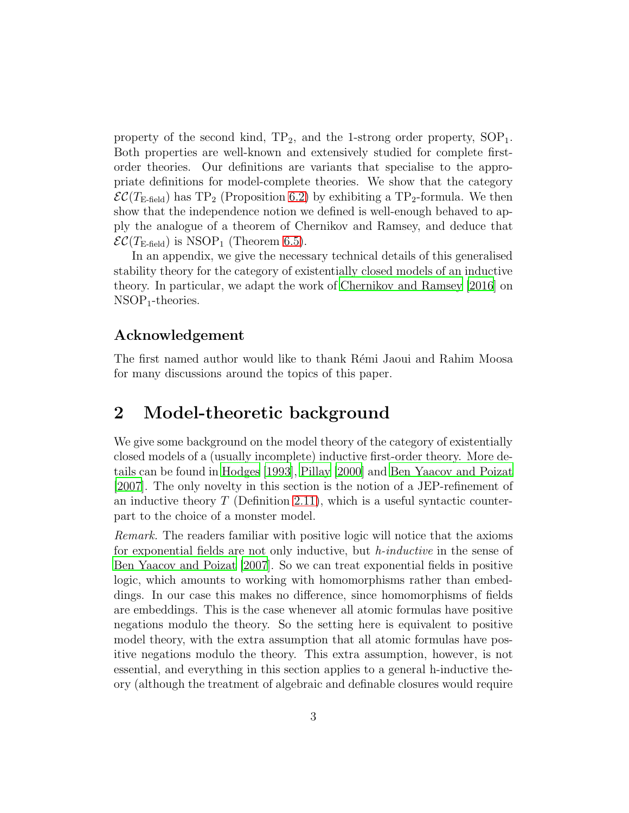property of the second kind,  $TP_2$ , and the 1-strong order property,  $SOP_1$ . Both properties are well-known and extensively studied for complete firstorder theories. Our definitions are variants that specialise to the appropriate definitions for model-complete theories. We show that the category  $\mathcal{EC}(T_{\text{E-field}})$  has TP<sub>2</sub> (Proposition [6.2\)](#page-18-0) by exhibiting a TP<sub>2</sub>-formula. We then show that the independence notion we defined is well-enough behaved to apply the analogue of a theorem of Chernikov and Ramsey, and deduce that  $\mathcal{EC}(T_{\text{E-field}})$  is NSOP<sub>1</sub> (Theorem [6.5\)](#page-21-0).

In an appendix, we give the necessary technical details of this generalised stability theory for the category of existentially closed models of an inductive theory. In particular, we adapt the work of [Chernikov and Ramsey](#page-27-0) [\[2016\]](#page-27-0) on  $NSOP_1$ -theories.

### Acknowledgement

The first named author would like to thank Rémi Jaoui and Rahim Moosa for many discussions around the topics of this paper.

### 2 Model-theoretic background

We give some background on the model theory of the category of existentially closed models of a (usually incomplete) inductive first-order theory. More details can be found in [Hodges \[1993\]](#page-28-5), [Pillay \[2000\]](#page-28-4) and [Ben Yaacov and Poizat](#page-27-1) [\[2007\]](#page-27-1). The only novelty in this section is the notion of a JEP-refinement of an inductive theory  $T$  (Definition [2.11\)](#page-6-0), which is a useful syntactic counterpart to the choice of a monster model.

*Remark.* The readers familiar with positive logic will notice that the axioms for exponential fields are not only inductive, but *h-inductive* in the sense of [Ben Yaacov and Poizat \[2007\]](#page-27-1). So we can treat exponential fields in positive logic, which amounts to working with homomorphisms rather than embeddings. In our case this makes no difference, since homomorphisms of fields are embeddings. This is the case whenever all atomic formulas have positive negations modulo the theory. So the setting here is equivalent to positive model theory, with the extra assumption that all atomic formulas have positive negations modulo the theory. This extra assumption, however, is not essential, and everything in this section applies to a general h-inductive theory (although the treatment of algebraic and definable closures would require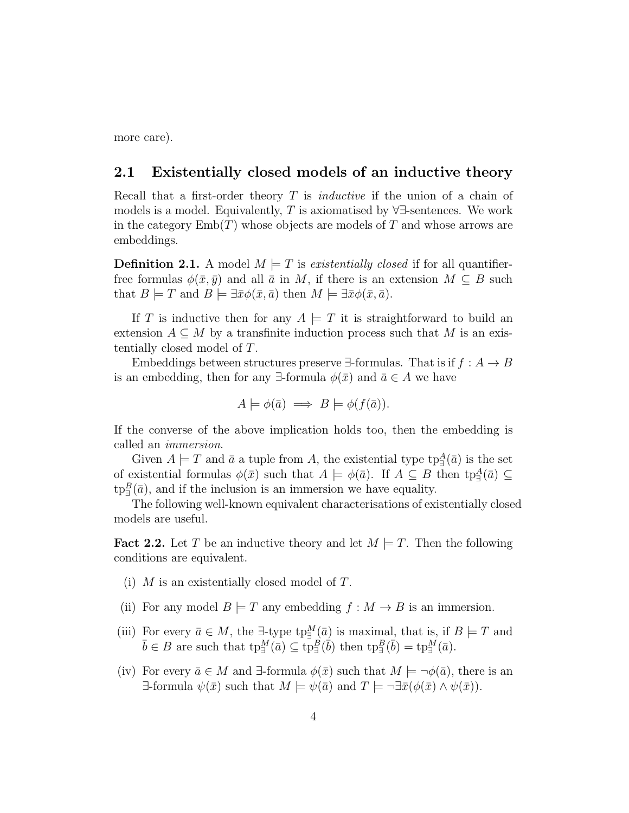more care).

#### 2.1 Existentially closed models of an inductive theory

Recall that a first-order theory T is *inductive* if the union of a chain of models is a model. Equivalently,  $T$  is axiomatised by  $\forall \exists$ -sentences. We work in the category  $\text{Emb}(T)$  whose objects are models of T and whose arrows are embeddings.

**Definition 2.1.** A model  $M \models T$  is *existentially closed* if for all quantifierfree formulas  $\phi(\bar{x}, \bar{y})$  and all  $\bar{a}$  in M, if there is an extension  $M \subseteq B$  such that  $B \models T$  and  $B \models \exists \bar{x} \phi(\bar{x}, \bar{a})$  then  $M \models \exists \bar{x} \phi(\bar{x}, \bar{a})$ .

If T is inductive then for any  $A \models T$  it is straightforward to build an extension  $A \subseteq M$  by a transfinite induction process such that M is an existentially closed model of T.

Embeddings between structures preserve  $\exists$ -formulas. That is if  $f : A \rightarrow B$ is an embedding, then for any  $\exists$ -formula  $\phi(\bar{x})$  and  $\bar{a} \in A$  we have

$$
A \models \phi(\bar{a}) \implies B \models \phi(f(\bar{a})).
$$

If the converse of the above implication holds too, then the embedding is called an *immersion*.

Given  $A \models T$  and  $\bar{a}$  a tuple from A, the existential type  $\text{tp}^A_{\exists}(\bar{a})$  is the set of existential formulas  $\phi(\bar{x})$  such that  $A \models \phi(\bar{a})$ . If  $A \subseteq B$  then  $tp_{\exists}^A(\bar{a}) \subseteq$  $\text{tp}^B_{\exists}(\bar{a})$ , and if the inclusion is an immersion we have equality.

The following well-known equivalent characterisations of existentially closed models are useful.

<span id="page-3-0"></span>**Fact 2.2.** Let T be an inductive theory and let  $M \models T$ . Then the following conditions are equivalent.

- (i)  $M$  is an existentially closed model of  $T$ .
- (ii) For any model  $B \models T$  any embedding  $f : M \rightarrow B$  is an immersion.
- (iii) For every  $\bar{a} \in M$ , the  $\exists$ -type  ${\rm tp}_{\exists}^M(\bar{a})$  is maximal, that is, if  $B \models T$  and  $\bar{b} \in B$  are such that  $\text{tp}_{\exists}^M(\bar{a}) \subseteq \text{tp}_{\exists}^B(\bar{b})$  then  $\text{tp}_{\exists}^B(\bar{b}) = \text{tp}_{\exists}^M(\bar{a})$ .
- (iv) For every  $\bar{a} \in M$  and  $\exists$ -formula  $\phi(\bar{x})$  such that  $M \models \neg \phi(\bar{a})$ , there is an  $\exists$ -formula  $\psi(\bar{x})$  such that  $M \models \psi(\bar{a})$  and  $T \models \neg \exists \bar{x}(\phi(\bar{x}) \land \psi(\bar{x})).$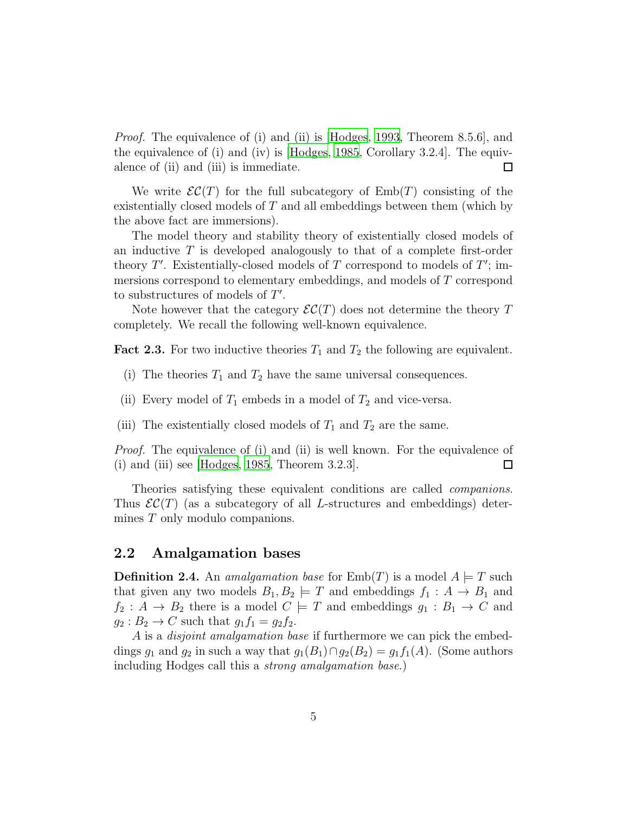*Proof.* The equivalence of (i) and (ii) is [\[Hodges](#page-28-5), [1993](#page-28-5), Theorem 8.5.6], and the equivalence of (i) and (iv) is [\[Hodges](#page-27-2), [1985,](#page-27-2) Corollary 3.2.4]. The equivalence of (ii) and (iii) is immediate.  $\Box$ 

We write  $\mathcal{EC}(T)$  for the full subcategory of  $Emb(T)$  consisting of the existentially closed models of  $T$  and all embeddings between them (which by the above fact are immersions).

The model theory and stability theory of existentially closed models of an inductive  $T$  is developed analogously to that of a complete first-order theory  $T'$ . Existentially-closed models of  $T$  correspond to models of  $T'$ ; immersions correspond to elementary embeddings, and models of T correspond to substructures of models of  $T'$ .

Note however that the category  $\mathcal{EC}(T)$  does not determine the theory T completely. We recall the following well-known equivalence.

<span id="page-4-0"></span>**Fact 2.3.** For two inductive theories  $T_1$  and  $T_2$  the following are equivalent.

- (i) The theories  $T_1$  and  $T_2$  have the same universal consequences.
- (ii) Every model of  $T_1$  embeds in a model of  $T_2$  and vice-versa.
- (iii) The existentially closed models of  $T_1$  and  $T_2$  are the same.

*Proof.* The equivalence of (i) and (ii) is well known. For the equivalence of (i) and (iii) see [\[Hodges, 1985,](#page-27-2) Theorem 3.2.3].  $\Box$ 

Theories satisfying these equivalent conditions are called *companions*. Thus  $\mathcal{EC}(T)$  (as a subcategory of all L-structures and embeddings) determines T only modulo companions.

#### 2.2 Amalgamation bases

**Definition 2.4.** An *amalgamation base* for  $\text{Emb}(T)$  is a model  $A \models T$  such that given any two models  $B_1, B_2 \models T$  and embeddings  $f_1 : A \rightarrow B_1$  and  $f_2: A \rightarrow B_2$  there is a model  $C \models T$  and embeddings  $g_1: B_1 \rightarrow C$  and  $g_2: B_2 \to C$  such that  $g_1 f_1 = g_2 f_2$ .

A is a *disjoint amalgamation base* if furthermore we can pick the embeddings  $g_1$  and  $g_2$  in such a way that  $g_1(B_1) \cap g_2(B_2) = g_1 f_1(A)$ . (Some authors including Hodges call this a *strong amalgamation base*.)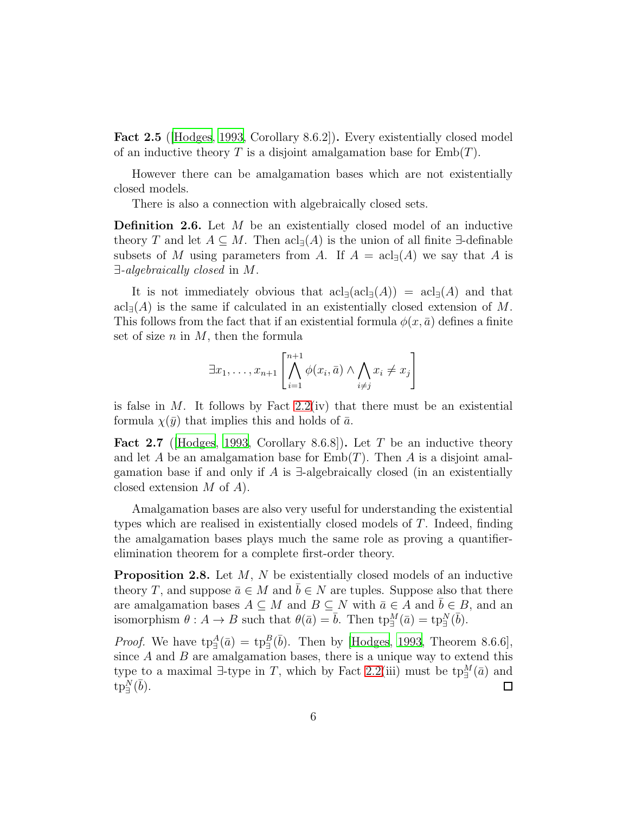Fact 2.5 ([\[Hodges](#page-28-5), [1993,](#page-28-5) Corollary 8.6.2]). Every existentially closed model of an inductive theory T is a disjoint amalgamation base for  $Emb(T)$ .

However there can be amalgamation bases which are not existentially closed models.

There is also a connection with algebraically closed sets.

**Definition 2.6.** Let M be an existentially closed model of an inductive theory T and let  $A \subseteq M$ . Then  $\operatorname{acl}_{\exists}(A)$  is the union of all finite  $\exists$ -definable subsets of M using parameters from A. If  $A = \operatorname{acl}_{\exists}(A)$  we say that A is ∃*-algebraically closed* in M.

It is not immediately obvious that  $\operatorname{acl}_{\exists}(\operatorname{acl}_{\exists}(A)) = \operatorname{acl}_{\exists}(A)$  and that  $\text{acl}_{\exists}(A)$  is the same if calculated in an existentially closed extension of M. This follows from the fact that if an existential formula  $\phi(x, \bar{a})$  defines a finite set of size  $n$  in  $M$ , then the formula

$$
\exists x_1, \ldots, x_{n+1} \left[ \bigwedge_{i=1}^{n+1} \phi(x_i, \bar{a}) \wedge \bigwedge_{i \neq j} x_i \neq x_j \right]
$$

is false in  $M$ . It follows by Fact [2.2\(](#page-3-0)iv) that there must be an existential formula  $\chi(\bar{y})$  that implies this and holds of  $\bar{a}$ .

<span id="page-5-0"></span>**Fact 2.7** (Hodges, 1993, Corollary 8.6.8)). Let T be an inductive theory and let A be an amalgamation base for  $\text{Emb}(T)$ . Then A is a disjoint amalgamation base if and only if A is  $\exists$ -algebraically closed (in an existentially closed extension M of A).

Amalgamation bases are also very useful for understanding the existential types which are realised in existentially closed models of T. Indeed, finding the amalgamation bases plays much the same role as proving a quantifierelimination theorem for a complete first-order theory.

Proposition 2.8. Let M, N be existentially closed models of an inductive theory T, and suppose  $\bar{a} \in M$  and  $b \in N$  are tuples. Suppose also that there are amalgamation bases  $A \subseteq M$  and  $B \subseteq N$  with  $\bar{a} \in A$  and  $\bar{b} \in B$ , and an isomorphism  $\theta: A \to B$  such that  $\theta(\bar{a}) = \bar{b}$ . Then  $tp_{\exists}^M(\bar{a}) = tp_{\exists}^N(\bar{b})$ .

*Proof.* We have  $tp_{\exists}^{A}(\bar{a}) = tp_{\exists}^{B}(\bar{b})$ . Then by [\[Hodges](#page-28-5), [1993,](#page-28-5) Theorem 8.6.6], since  $A$  and  $B$  are amalgamation bases, there is a unique way to extend this type to a maximal  $\exists$ -type in T, which by Fact [2.2\(](#page-3-0)iii) must be tp $_{\exists}^M(\bar{a})$  and  $\textrm{tp}_{\exists}^N(\bar b)$ .  $\Box$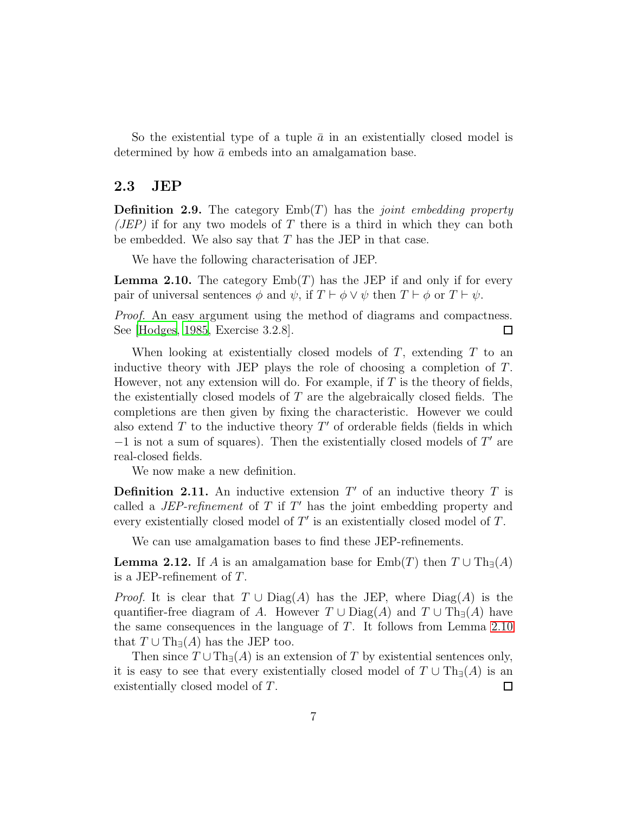So the existential type of a tuple  $\bar{a}$  in an existentially closed model is determined by how  $\bar{a}$  embeds into an amalgamation base.

#### 2.3 JEP

Definition 2.9. The category Emb(T) has the *joint embedding property (JEP)* if for any two models of T there is a third in which they can both be embedded. We also say that  $T$  has the JEP in that case.

We have the following characterisation of JEP.

<span id="page-6-1"></span>**Lemma 2.10.** The category  $\text{Emb}(T)$  has the JEP if and only if for every pair of universal sentences  $\phi$  and  $\psi$ , if  $T \vdash \phi \lor \psi$  then  $T \vdash \phi$  or  $T \vdash \psi$ .

*Proof.* An easy argument using the method of diagrams and compactness. See [\[Hodges](#page-27-2), [1985,](#page-27-2) Exercise 3.2.8].  $\Box$ 

When looking at existentially closed models of  $T$ , extending  $T$  to an inductive theory with JEP plays the role of choosing a completion of  $T$ . However, not any extension will do. For example, if  $T$  is the theory of fields, the existentially closed models of T are the algebraically closed fields. The completions are then given by fixing the characteristic. However we could also extend  $T$  to the inductive theory  $T'$  of orderable fields (fields in which  $-1$  is not a sum of squares). Then the existentially closed models of  $T'$  are real-closed fields.

We now make a new definition.

<span id="page-6-0"></span>**Definition 2.11.** An inductive extension  $T'$  of an inductive theory  $T$  is called a  $JEP\text{-}refinement$  of  $T$  if  $T'$  has the joint embedding property and every existentially closed model of  $T'$  is an existentially closed model of  $T$ .

We can use amalgamation bases to find these JEP-refinements.

<span id="page-6-2"></span>**Lemma 2.12.** If A is an amalgamation base for  $\text{Emb}(T)$  then  $T \cup \text{Th}_{\exists}(A)$ is a JEP-refinement of T.

*Proof.* It is clear that  $T \cup Diag(A)$  has the JEP, where  $Diag(A)$  is the quantifier-free diagram of A. However  $T \cup Diag(A)$  and  $T \cup Th_{\exists}(A)$  have the same consequences in the language of  $T$ . It follows from Lemma [2.10](#page-6-1) that  $T \cup Th_{\exists}(A)$  has the JEP too.

Then since  $T \cup Th_{\exists}(A)$  is an extension of T by existential sentences only, it is easy to see that every existentially closed model of  $T \cup Th_{\exists}(A)$  is an existentially closed model of T.  $\Box$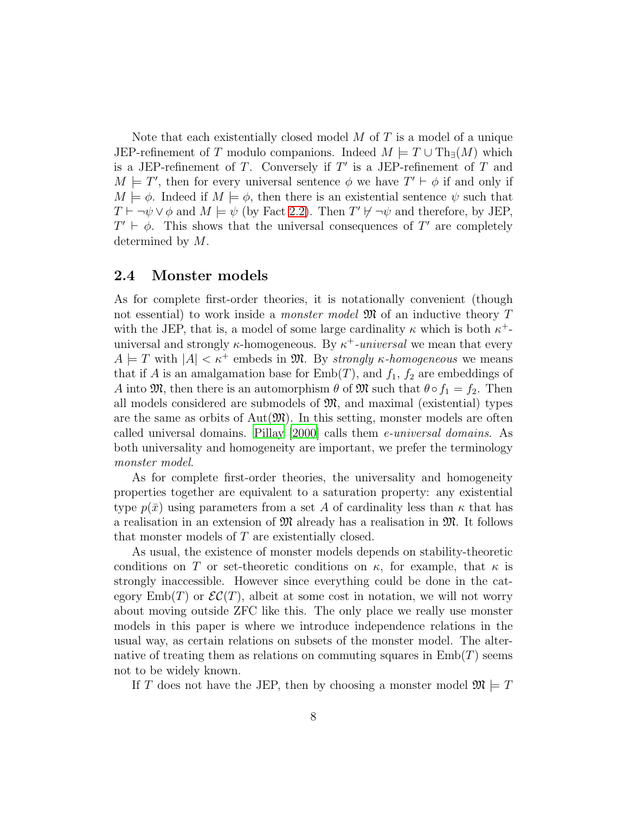Note that each existentially closed model  $M$  of  $T$  is a model of a unique JEP-refinement of T modulo companions. Indeed  $M \models T \cup Th_{\exists}(M)$  which is a JEP-refinement of  $T$ . Conversely if  $T'$  is a JEP-refinement of  $T$  and  $M \models T'$ , then for every universal sentence  $\phi$  we have  $T' \vdash \phi$  if and only if  $M \models \phi$ . Indeed if  $M \models \phi$ , then there is an existential sentence  $\psi$  such that  $T \vdash \neg \psi \lor \phi$  and  $M \models \psi$  (by Fact [2.2\)](#page-3-0). Then  $T' \not\vdash \neg \psi$  and therefore, by JEP,  $T' \vdash \phi$ . This shows that the universal consequences of T' are completely determined by M.

#### 2.4 Monster models

As for complete first-order theories, it is notationally convenient (though not essential) to work inside a *monster model* M of an inductive theory T with the JEP, that is, a model of some large cardinality  $\kappa$  which is both  $\kappa^+$ universal and strongly  $\kappa$ -homogeneous. By  $\kappa^+$ -universal we mean that every  $A \models T$  with  $|A| < \kappa^+$  embeds in M. By *strongly*  $\kappa$ -homogeneous we means that if A is an amalgamation base for  $\text{Emb}(T)$ , and  $f_1, f_2$  are embeddings of A into  $\mathfrak{M}$ , then there is an automorphism  $\theta$  of  $\mathfrak{M}$  such that  $\theta \circ f_1 = f_2$ . Then all models considered are submodels of  $\mathfrak{M}$ , and maximal (existential) types are the same as orbits of  $Aut(\mathfrak{M})$ . In this setting, monster models are often called universal domains. [Pillay \[2000](#page-28-4)] calls them *e-universal domains*. As both universality and homogeneity are important, we prefer the terminology *monster model*.

As for complete first-order theories, the universality and homogeneity properties together are equivalent to a saturation property: any existential type  $p(\bar{x})$  using parameters from a set A of cardinality less than  $\kappa$  that has a realisation in an extension of  $\mathfrak{M}$  already has a realisation in  $\mathfrak{M}$ . It follows that monster models of T are existentially closed.

As usual, the existence of monster models depends on stability-theoretic conditions on T or set-theoretic conditions on  $\kappa$ , for example, that  $\kappa$  is strongly inaccessible. However since everything could be done in the category  $\text{Emb}(T)$  or  $\mathcal{EC}(T)$ , albeit at some cost in notation, we will not worry about moving outside ZFC like this. The only place we really use monster models in this paper is where we introduce independence relations in the usual way, as certain relations on subsets of the monster model. The alternative of treating them as relations on commuting squares in  $\text{Emb}(T)$  seems not to be widely known.

If T does not have the JEP, then by choosing a monster model  $\mathfrak{M} \models T$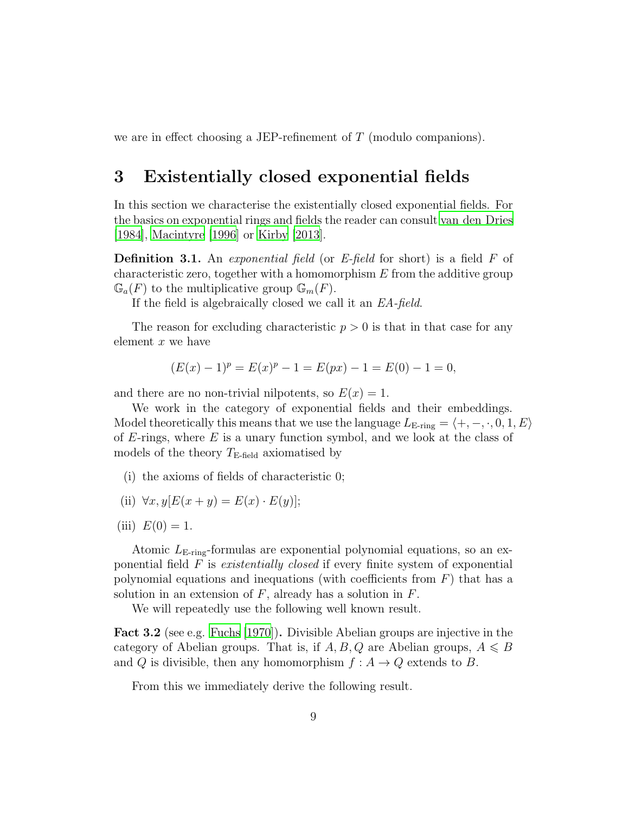we are in effect choosing a JEP-refinement of T (modulo companions).

### 3 Existentially closed exponential fields

In this section we characterise the existentially closed exponential fields. For the basics on exponential rings and fields the reader can consult [van den Dries](#page-28-0) [\[1984\]](#page-28-0), [Macintyre \[1996\]](#page-28-6) or [Kirby \[2013](#page-28-7)].

Definition 3.1. An *exponential field* (or *E-field* for short) is a field F of characteristic zero, together with a homomorphism  $E$  from the additive group  $\mathbb{G}_{a}(F)$  to the multiplicative group  $\mathbb{G}_{m}(F)$ .

If the field is algebraically closed we call it an *EA-field*.

The reason for excluding characteristic  $p > 0$  is that in that case for any element  $x$  we have

$$
(E(x) - 1)p = E(x)p - 1 = E(px) - 1 = E(0) - 1 = 0,
$$

and there are no non-trivial nilpotents, so  $E(x) = 1$ .

We work in the category of exponential fields and their embeddings. Model theoretically this means that we use the language  $L_{\text{E-ring}} = \langle +, -, \cdot, 0, 1, E \rangle$ of  $E$ -rings, where  $E$  is a unary function symbol, and we look at the class of models of the theory  $T_{\text{E-field}}$  axiomatised by

- (i) the axioms of fields of characteristic 0;
- (ii)  $\forall x, y [E(x + y) = E(x) \cdot E(y)];$
- (iii)  $E(0) = 1$ .

Atomic  $L_{\text{E-ring}}$ -formulas are exponential polynomial equations, so an exponential field F is *existentially closed* if every finite system of exponential polynomial equations and inequations (with coefficients from  $F$ ) that has a solution in an extension of  $F$ , already has a solution in  $F$ .

We will repeatedly use the following well known result.

<span id="page-8-0"></span>Fact 3.2 (see e.g. [Fuchs \[1970\]](#page-27-3)). Divisible Abelian groups are injective in the category of Abelian groups. That is, if  $A, B, Q$  are Abelian groups,  $A \leq B$ and Q is divisible, then any homomorphism  $f : A \rightarrow Q$  extends to B.

From this we immediately derive the following result.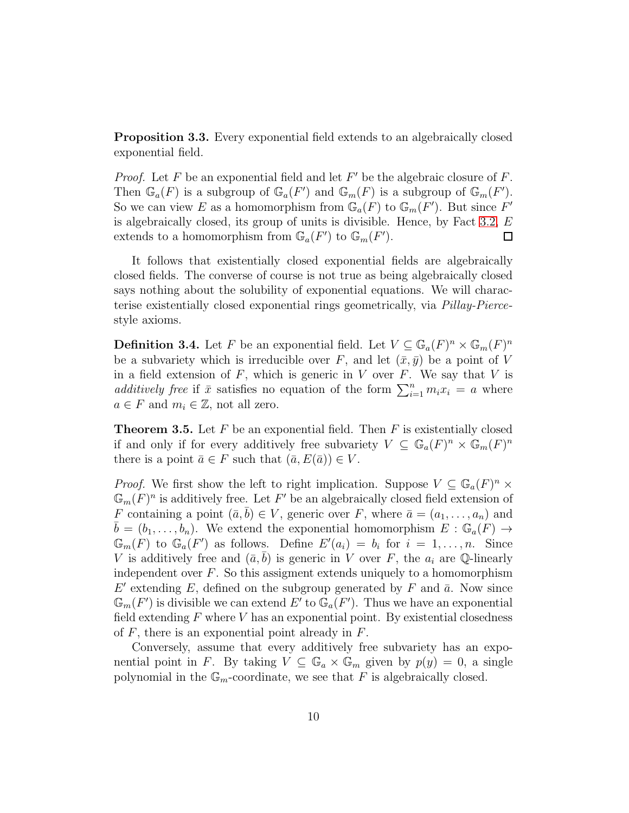Proposition 3.3. Every exponential field extends to an algebraically closed exponential field.

*Proof.* Let  $F$  be an exponential field and let  $F'$  be the algebraic closure of  $F$ . Then  $\mathbb{G}_a(F)$  is a subgroup of  $\mathbb{G}_a(F')$  and  $\mathbb{G}_m(F)$  is a subgroup of  $\mathbb{G}_m(F')$ . So we can view E as a homomorphism from  $\mathbb{G}_a(F)$  to  $\mathbb{G}_m(F')$ . But since  $F'$ is algebraically closed, its group of units is divisible. Hence, by Fact [3.2,](#page-8-0)  $E$ extends to a homomorphism from  $\mathbb{G}_a(F')$  to  $\mathbb{G}_m(F')$ .  $\Box$ 

It follows that existentially closed exponential fields are algebraically closed fields. The converse of course is not true as being algebraically closed says nothing about the solubility of exponential equations. We will characterise existentially closed exponential rings geometrically, via *Pillay-Pierce*style axioms.

**Definition 3.4.** Let F be an exponential field. Let  $V \subseteq \mathbb{G}_a(F)^n \times \mathbb{G}_m(F)^n$ be a subvariety which is irreducible over F, and let  $(\bar{x}, \bar{y})$  be a point of V in a field extension of  $F$ , which is generic in V over  $F$ . We say that V is *additively free* if  $\bar{x}$  satisfies no equation of the form  $\sum_{i=1}^{n} m_i x_i = a$  where  $a \in F$  and  $m_i \in \mathbb{Z}$ , not all zero.

<span id="page-9-0"></span>**Theorem 3.5.** Let  $F$  be an exponential field. Then  $F$  is existentially closed if and only if for every additively free subvariety  $V \subseteq \mathbb{G}_a(F)^n \times \mathbb{G}_m(F)^n$ there is a point  $\bar{a} \in F$  such that  $(\bar{a}, E(\bar{a})) \in V$ .

*Proof.* We first show the left to right implication. Suppose  $V \subseteq \mathbb{G}_a(F)^n \times$  $\mathbb{G}_m(F)^n$  is additively free. Let F' be an algebraically closed field extension of F containing a point  $(\bar{a}, \bar{b}) \in V$ , generic over F, where  $\bar{a} = (a_1, \ldots, a_n)$  and  $b = (b_1, \ldots, b_n)$ . We extend the exponential homomorphism  $E : \mathbb{G}_a(F) \to$  $\mathbb{G}_m(F)$  to  $\mathbb{G}_a(F')$  as follows. Define  $E'(a_i) = b_i$  for  $i = 1, \ldots, n$ . Since V is additively free and  $(\bar{a}, \bar{b})$  is generic in V over F, the  $a_i$  are Q-linearly independent over  $F$ . So this assigment extends uniquely to a homomorphism  $E'$  extending E, defined on the subgroup generated by F and  $\bar{a}$ . Now since  $\mathbb{G}_m(F')$  is divisible we can extend  $E'$  to  $\mathbb{G}_a(F')$ . Thus we have an exponential field extending  $F$  where  $V$  has an exponential point. By existential closedness of  $F$ , there is an exponential point already in  $F$ .

Conversely, assume that every additively free subvariety has an exponential point in F. By taking  $V \subseteq \mathbb{G}_a \times \mathbb{G}_m$  given by  $p(y) = 0$ , a single polynomial in the  $\mathbb{G}_m$ -coordinate, we see that F is algebraically closed.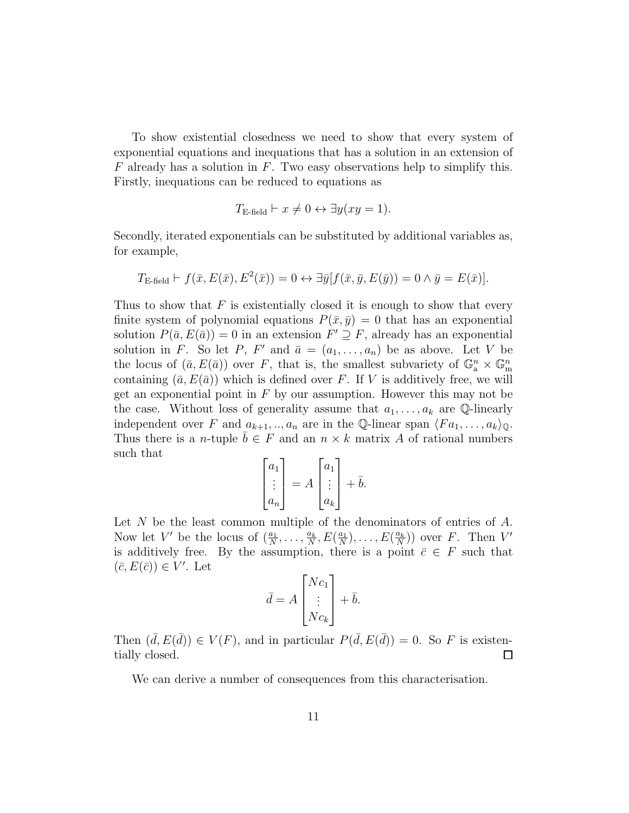To show existential closedness we need to show that every system of exponential equations and inequations that has a solution in an extension of  $F$  already has a solution in  $F$ . Two easy observations help to simplify this. Firstly, inequations can be reduced to equations as

$$
T_{\text{E-field}} \vdash x \neq 0 \leftrightarrow \exists y (xy = 1).
$$

Secondly, iterated exponentials can be substituted by additional variables as, for example,

$$
T_{\text{E-field}} \vdash f(\bar{x}, E(\bar{x}), E^2(\bar{x})) = 0 \leftrightarrow \exists \bar{y} [f(\bar{x}, \bar{y}, E(\bar{y})) = 0 \land \bar{y} = E(\bar{x})].
$$

Thus to show that  $F$  is existentially closed it is enough to show that every finite system of polynomial equations  $P(\bar{x}, \bar{y}) = 0$  that has an exponential solution  $P(\bar{a}, E(\bar{a})) = 0$  in an extension  $F' \supseteq F$ , already has an exponential solution in F. So let P, F' and  $\bar{a} = (a_1, \ldots, a_n)$  be as above. Let V be the locus of  $(\bar{a}, E(\bar{a}))$  over F, that is, the smallest subvariety of  $\mathbb{G}_{a}^{n} \times \mathbb{G}_{m}^{n}$ containing  $(\bar{a}, E(\bar{a}))$  which is defined over F. If V is additively free, we will get an exponential point in  $F$  by our assumption. However this may not be the case. Without loss of generality assume that  $a_1, \ldots, a_k$  are Q-linearly independent over F and  $a_{k+1}, \ldots, a_n$  are in the Q-linear span  $\langle Fa_1, \ldots, a_k \rangle_{\mathbb{Q}}$ . Thus there is a *n*-tuple  $b \in F$  and an  $n \times k$  matrix A of rational numbers such that

$$
\begin{bmatrix} a_1 \\ \vdots \\ a_n \end{bmatrix} = A \begin{bmatrix} a_1 \\ \vdots \\ a_k \end{bmatrix} + \bar{b}.
$$

Let N be the least common multiple of the denominators of entries of A. Now let V' be the locus of  $(\frac{a_1}{N}, \ldots, \frac{a_k}{N})$  $\frac{a_k}{N}, E(\frac{a_1}{N}$  $\frac{a_1}{N}$ ), ...,  $E(\frac{a_k}{N})$  $\frac{a_k}{N}$ )) over F. Then  $V'$ is additively free. By the assumption, there is a point  $\bar{c} \in F$  such that  $(\bar{c}, E(\bar{c})) \in V'$ . Let

$$
\bar{d} = A \begin{bmatrix} Nc_1 \\ \vdots \\ Nc_k \end{bmatrix} + \bar{b}.
$$

Then  $(\bar{d}, E(\bar{d})) \in V(F)$ , and in particular  $P(\bar{d}, E(\bar{d})) = 0$ . So F is existentially closed. □

We can derive a number of consequences from this characterisation.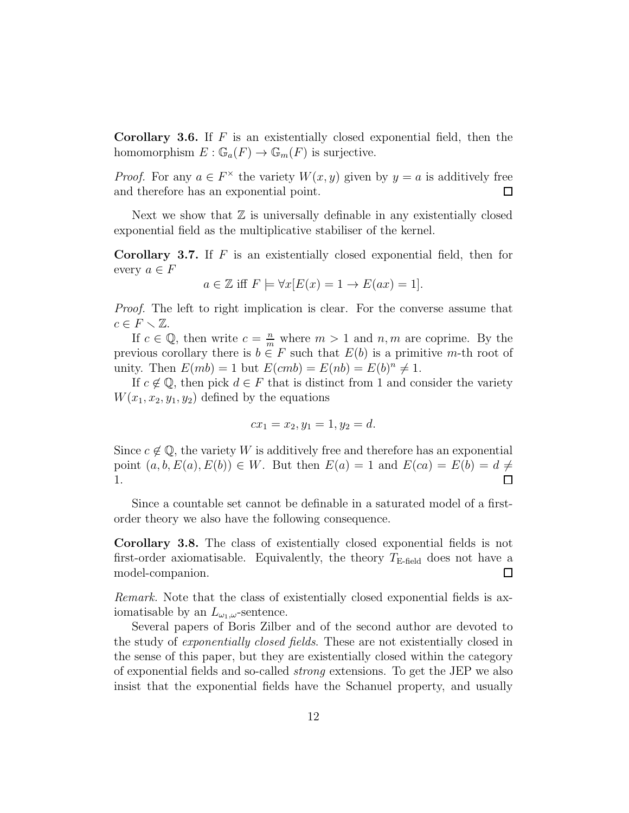**Corollary 3.6.** If  $F$  is an existentially closed exponential field, then the homomorphism  $E : \mathbb{G}_a(F) \to \mathbb{G}_m(F)$  is surjective.

*Proof.* For any  $a \in F^{\times}$  the variety  $W(x, y)$  given by  $y = a$  is additively free and therefore has an exponential point. □

Next we show that  $\mathbb Z$  is universally definable in any existentially closed exponential field as the multiplicative stabiliser of the kernel.

**Corollary 3.7.** If  $F$  is an existentially closed exponential field, then for every  $a \in F$ 

$$
a \in \mathbb{Z} \text{ iff } F \models \forall x [E(x) = 1 \to E(ax) = 1].
$$

*Proof.* The left to right implication is clear. For the converse assume that  $c \in F \setminus \mathbb{Z}$ .

If  $c \in \mathbb{Q}$ , then write  $c = \frac{n}{m}$  where  $m > 1$  and  $n, m$  are coprime. By the previous corollary there is  $b \in F$  such that  $E(b)$  is a primitive m-th root of unity. Then  $E(mb) = 1$  but  $E(cmb) = E(nb) = E(b)^n \neq 1$ .

If  $c \notin \mathbb{Q}$ , then pick  $d \in F$  that is distinct from 1 and consider the variety  $W(x_1, x_2, y_1, y_2)$  defined by the equations

$$
cx_1 = x_2, y_1 = 1, y_2 = d.
$$

Since  $c \notin \mathbb{Q}$ , the variety W is additively free and therefore has an exponential point  $(a, b, E(a), E(b)) \in W$ . But then  $E(a) = 1$  and  $E(ca) = E(b) = d \neq$ 1.  $\Box$ 

Since a countable set cannot be definable in a saturated model of a firstorder theory we also have the following consequence.

Corollary 3.8. The class of existentially closed exponential fields is not first-order axiomatisable. Equivalently, the theory  $T_{\text{E-field}}$  does not have a model-companion.  $\Box$ 

*Remark.* Note that the class of existentially closed exponential fields is axiomatisable by an  $L_{\omega_1,\omega}$ -sentence.

Several papers of Boris Zilber and of the second author are devoted to the study of *exponentially closed fields*. These are not existentially closed in the sense of this paper, but they are existentially closed within the category of exponential fields and so-called *strong* extensions. To get the JEP we also insist that the exponential fields have the Schanuel property, and usually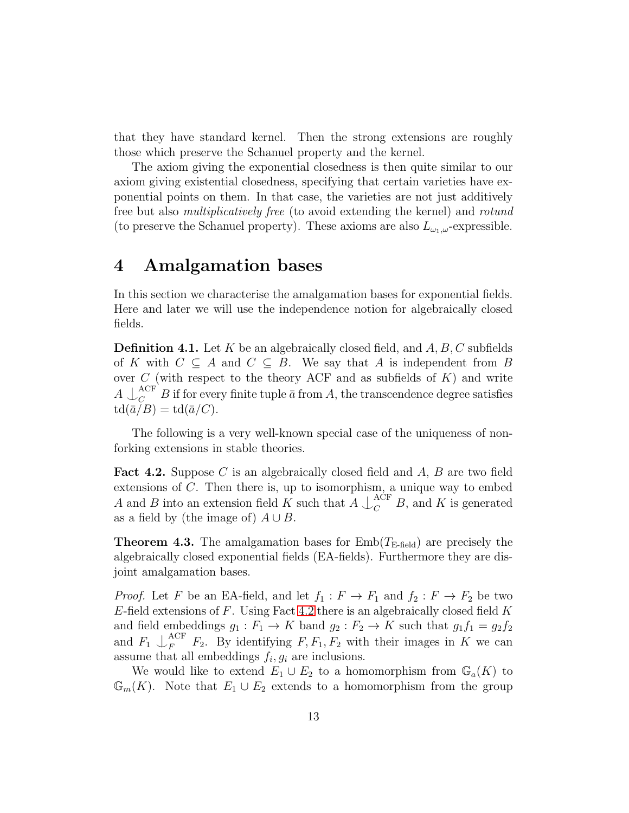that they have standard kernel. Then the strong extensions are roughly those which preserve the Schanuel property and the kernel.

The axiom giving the exponential closedness is then quite similar to our axiom giving existential closedness, specifying that certain varieties have exponential points on them. In that case, the varieties are not just additively free but also *multiplicatively free* (to avoid extending the kernel) and *rotund* (to preserve the Schanuel property). These axioms are also  $L_{\omega_1,\omega}$ -expressible.

### 4 Amalgamation bases

In this section we characterise the amalgamation bases for exponential fields. Here and later we will use the independence notion for algebraically closed fields.

**Definition 4.1.** Let K be an algebraically closed field, and  $A, B, C$  subfields of K with  $C \subseteq A$  and  $C \subseteq B$ . We say that A is independent from B over  $C$  (with respect to the theory ACF and as subfields of  $K$ ) and write  $A \downarrow_{C_{\text{max}}}^{\text{ACF}} B$  if for every finite tuple  $\bar{a}$  from A, the transcendence degree satisfies  $\mathrm{td}(\bar{a}/B) = \mathrm{td}(\bar{a}/C).$ 

The following is a very well-known special case of the uniqueness of nonforking extensions in stable theories.

<span id="page-12-1"></span>**Fact 4.2.** Suppose C is an algebraically closed field and  $A$ ,  $B$  are two field extensions of C. Then there is, up to isomorphism, a unique way to embed A and B into an extension field K such that  $A \downarrow_C^{ACF} B$ , and K is generated as a field by (the image of)  $A \cup B$ .

<span id="page-12-0"></span>**Theorem 4.3.** The amalgamation bases for  $\text{Emb}(T_{\text{E-field}})$  are precisely the algebraically closed exponential fields (EA-fields). Furthermore they are disjoint amalgamation bases.

*Proof.* Let F be an EA-field, and let  $f_1 : F \to F_1$  and  $f_2 : F \to F_2$  be two  $E$ -field extensions of  $F$ . Using Fact [4.2](#page-12-1) there is an algebraically closed field  $K$ and field embeddings  $g_1 : F_1 \to K$  band  $g_2 : F_2 \to K$  such that  $g_1 f_1 = g_2 f_2$ and  $F_1 \downarrow_F^{\text{ACF}}$  $F_F^{KCF}$   $F_2$ . By identifying  $F, F_1, F_2$  with their images in K we can assume that all embeddings  $f_i, g_i$  are inclusions.

We would like to extend  $E_1 \cup E_2$  to a homomorphism from  $\mathbb{G}_a(K)$  to  $\mathbb{G}_m(K)$ . Note that  $E_1 \cup E_2$  extends to a homomorphism from the group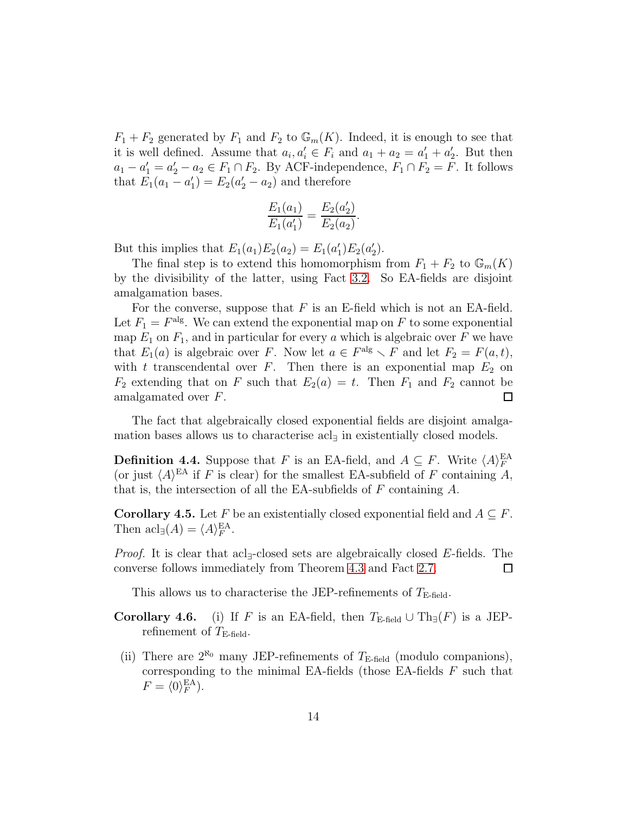$F_1 + F_2$  generated by  $F_1$  and  $F_2$  to  $\mathbb{G}_m(K)$ . Indeed, it is enough to see that it is well defined. Assume that  $a_i, a'_i \in F_i$  and  $a_1 + a_2 = a'_1 + a'_2$ . But then  $a_1 - a_1' = a_2' - a_2 \in F_1 \cap F_2$ . By ACF-independence,  $F_1 \cap F_2 = F$ . It follows that  $E_1(a_1 - a'_1) = E_2(a'_2 - a_2)$  and therefore

$$
\frac{E_1(a_1)}{E_1(a'_1)} = \frac{E_2(a'_2)}{E_2(a_2)}.
$$

But this implies that  $E_1(a_1)E_2(a_2) = E_1(a'_1)E_2(a'_2)$ .

The final step is to extend this homomorphism from  $F_1 + F_2$  to  $\mathbb{G}_m(K)$ by the divisibility of the latter, using Fact [3.2.](#page-8-0) So EA-fields are disjoint amalgamation bases.

For the converse, suppose that  $F$  is an E-field which is not an EA-field. Let  $F_1 = F^{\text{alg}}$ . We can extend the exponential map on F to some exponential map  $E_1$  on  $F_1$ , and in particular for every a which is algebraic over F we have that  $E_1(a)$  is algebraic over F. Now let  $a \in F^{\text{alg}} \setminus F$  and let  $F_2 = F(a, t)$ , with t transcendental over  $F$ . Then there is an exponential map  $E_2$  on  $F_2$  extending that on F such that  $E_2(a) = t$ . Then  $F_1$  and  $F_2$  cannot be amalgamated over F.  $\Box$ 

The fact that algebraically closed exponential fields are disjoint amalgamation bases allows us to characterise acl<sub>∃</sub> in existentially closed models.

**Definition 4.4.** Suppose that F is an EA-field, and  $A \subseteq F$ . Write  $\langle A \rangle_F^{\text{EA}}$ (or just  $\langle A \rangle^{EA}$  if F is clear) for the smallest EA-subfield of F containing A, that is, the intersection of all the EA-subfields of  $F$  containing  $A$ .

<span id="page-13-0"></span>**Corollary 4.5.** Let F be an existentially closed exponential field and  $A \subseteq F$ . Then  $\mathrm{acl}_{\exists}(A) = \langle A \rangle_F^{\mathrm{EA}}$ .

*Proof.* It is clear that acl<sub>∃</sub>-closed sets are algebraically closed E-fields. The converse follows immediately from Theorem [4.3](#page-12-0) and Fact [2.7.](#page-5-0)  $\Box$ 

This allows us to characterise the JEP-refinements of  $T_{\text{E-field}}$ .

- Corollary 4.6. (i) If F is an EA-field, then  $T_{\text{E-field}} \cup \text{Th}_{\exists}(F)$  is a JEPrefinement of  $T_{\text{E-field}}$ .
- (ii) There are  $2^{\aleph_0}$  many JEP-refinements of  $T_{\text{E-field}}$  (modulo companions), corresponding to the minimal EA-fields (those EA-fields  $F$  such that  $F = \langle 0 \rangle_F^{\text{EA}}$ ).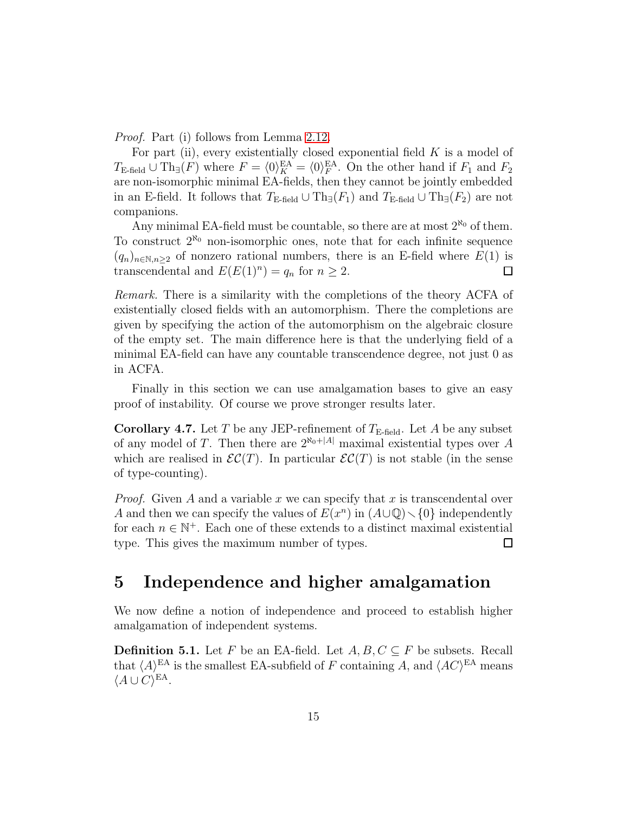*Proof.* Part (i) follows from Lemma [2.12.](#page-6-2)

For part (ii), every existentially closed exponential field  $K$  is a model of  $T_{\text{E-field}} \cup \text{Th}_{\exists}(F)$  where  $F = \langle 0 \rangle_K^{\text{EA}} = \langle 0 \rangle_F^{\text{EA}}$ . On the other hand if  $F_1$  and  $F_2$ are non-isomorphic minimal EA-fields, then they cannot be jointly embedded in an E-field. It follows that  $T_{\text{E-field}} \cup \text{Th}_{\exists}(F_1)$  and  $T_{\text{E-field}} \cup \text{Th}_{\exists}(F_2)$  are not companions.

Any minimal EA-field must be countable, so there are at most  $2^{\aleph_0}$  of them. To construct  $2^{\aleph_0}$  non-isomorphic ones, note that for each infinite sequence  $(q_n)_{n\in\mathbb{N},n\geq 2}$  of nonzero rational numbers, there is an E-field where  $E(1)$  is transcendental and  $E(E(1)^n) = q_n$  for  $n \geq 2$ .  $\Box$ 

*Remark.* There is a similarity with the completions of the theory ACFA of existentially closed fields with an automorphism. There the completions are given by specifying the action of the automorphism on the algebraic closure of the empty set. The main difference here is that the underlying field of a minimal EA-field can have any countable transcendence degree, not just 0 as in ACFA.

Finally in this section we can use amalgamation bases to give an easy proof of instability. Of course we prove stronger results later.

**Corollary 4.7.** Let T be any JEP-refinement of  $T_{\text{E-field}}$ . Let A be any subset of any model of T. Then there are  $2^{\aleph_0+|A|}$  maximal existential types over A which are realised in  $\mathcal{EC}(T)$ . In particular  $\mathcal{EC}(T)$  is not stable (in the sense of type-counting).

*Proof.* Given A and a variable x we can specify that x is transcendental over A and then we can specify the values of  $E(x^n)$  in  $(A\cup\mathbb{Q})\setminus\{0\}$  independently for each  $n \in \mathbb{N}^+$ . Each one of these extends to a distinct maximal existential type. This gives the maximum number of types.  $\Box$ 

### 5 Independence and higher amalgamation

We now define a notion of independence and proceed to establish higher amalgamation of independent systems.

<span id="page-14-0"></span>**Definition 5.1.** Let F be an EA-field. Let  $A, B, C \subseteq F$  be subsets. Recall that  $\langle A \rangle^{EA}$  is the smallest EA-subfield of F containing A, and  $\langle AC \rangle^{EA}$  means  $\langle A \cup C \rangle^{\text{EA}}$ .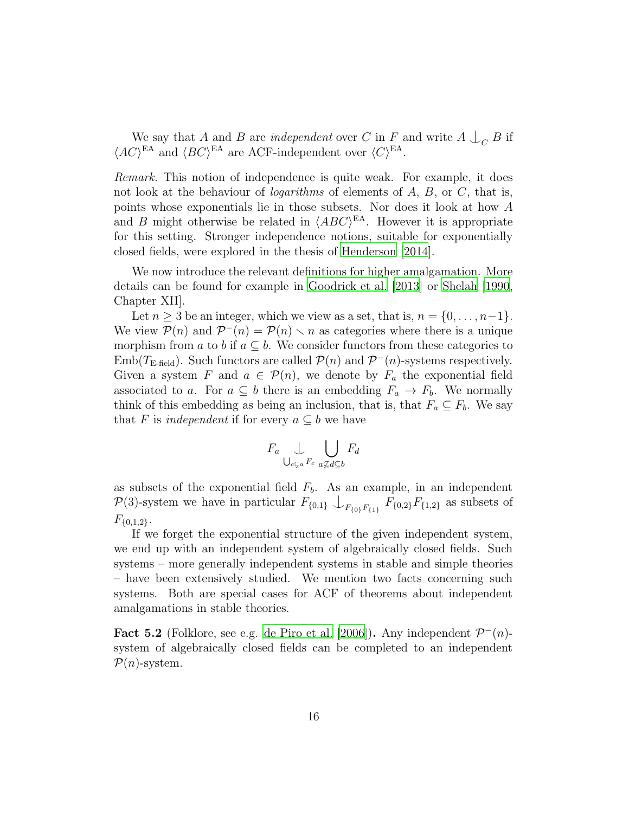We say that A and B are *independent* over C in F and write  $A \bigcup_C B$  if  $\langle AC \rangle^{\text{EA}}$  and  $\langle BC \rangle^{\text{EA}}$  are ACF-independent over  $\langle C \rangle^{\text{EA}}$ .

*Remark.* This notion of independence is quite weak. For example, it does not look at the behaviour of *logarithms* of elements of A, B, or C, that is, points whose exponentials lie in those subsets. Nor does it look at how A and B might otherwise be related in  $\langle ABC \rangle^{\text{EA}}$ . However it is appropriate for this setting. Stronger independence notions, suitable for exponentially closed fields, were explored in the thesis of [Henderson \[2014\]](#page-27-4).

We now introduce the relevant definitions for higher amalgamation. More details can be found for example in [Goodrick et al. \[2013](#page-27-5)] or [Shelah \[1990](#page-28-8), Chapter XII].

Let  $n \geq 3$  be an integer, which we view as a set, that is,  $n = \{0, \ldots, n-1\}$ . We view  $P(n)$  and  $P^-(n) = P(n) \setminus n$  as categories where there is a unique morphism from a to b if  $a \subseteq b$ . We consider functors from these categories to Emb( $T_{\text{E-field}}$ ). Such functors are called  $\mathcal{P}(n)$  and  $\mathcal{P}^{-}(n)$ -systems respectively. Given a system F and  $a \in \mathcal{P}(n)$ , we denote by  $F_a$  the exponential field associated to a. For  $a \subseteq b$  there is an embedding  $F_a \to F_b$ . We normally think of this embedding as being an inclusion, that is, that  $F_a \subseteq F_b$ . We say that F is *independent* if for every  $a \subseteq b$  we have

$$
F_a \bigcup_{\bigcup_{c \subsetneq a} F_c} \bigcup_{a \not\subseteq d \subseteq b} F_d
$$

as subsets of the exponential field  $F<sub>b</sub>$ . As an example, in an independent  $\mathcal{P}(3)$ -system we have in particular  $F_{\{0,1\}} \cup_{F_{\{0\}}F_{\{1\}}} F_{\{0,2\}}F_{\{1,2\}}$  as subsets of  $F_{\{0,1,2\}}.$ 

If we forget the exponential structure of the given independent system, we end up with an independent system of algebraically closed fields. Such systems – more generally independent systems in stable and simple theories – have been extensively studied. We mention two facts concerning such systems. Both are special cases for ACF of theorems about independent amalgamations in stable theories.

<span id="page-15-0"></span>Fact 5.2 (Folklore, see e.g. [de Piro et al. \[2006\]](#page-27-6)). Any independent  $\mathcal{P}^{-}(n)$ system of algebraically closed fields can be completed to an independent  $\mathcal{P}(n)$ -system.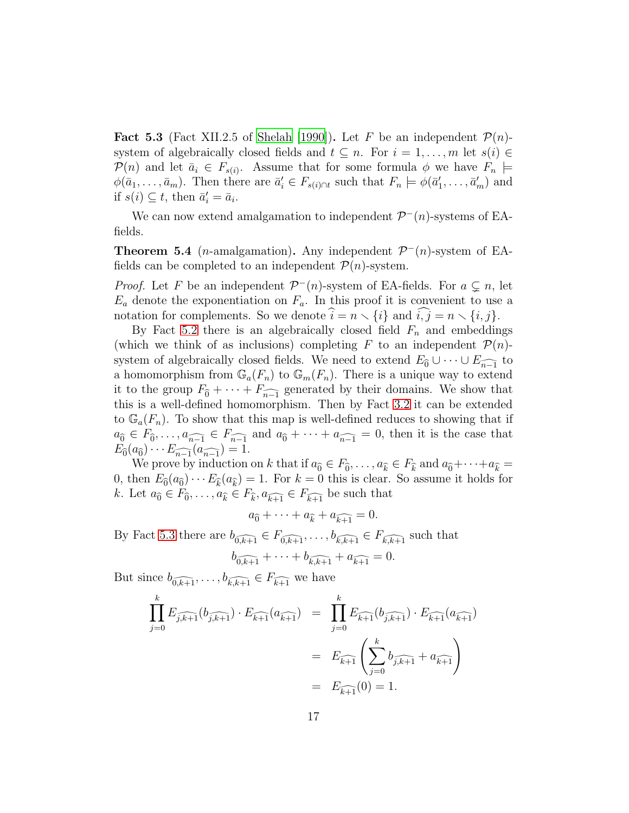<span id="page-16-1"></span>**Fact 5.3** (Fact XII.2.5 of [Shelah \[1990\]](#page-28-8)). Let F be an independent  $\mathcal{P}(n)$ system of algebraically closed fields and  $t \subseteq n$ . For  $i = 1, \ldots, m$  let  $s(i) \in$  $\mathcal{P}(n)$  and let  $\bar{a}_i \in F_{s(i)}$ . Assume that for some formula  $\phi$  we have  $F_n \models$  $\phi(\bar{a}_1,\ldots,\bar{a}_m)$ . Then there are  $\bar{a}'_i \in F_{s(i) \cap t}$  such that  $F_n \models \phi(\bar{a}'_1,\ldots,\bar{a}'_m)$  and if  $s(i) \subseteq t$ , then  $\bar{a}'_i = \bar{a}_i$ .

We can now extend amalgamation to independent  $\mathcal{P}^-(n)$ -systems of EAfields.

<span id="page-16-0"></span>**Theorem 5.4** (*n*-amalgamation). Any independent  $\mathcal{P}^{-}(n)$ -system of EAfields can be completed to an independent  $\mathcal{P}(n)$ -system.

*Proof.* Let F be an independent  $\mathcal{P}^-(n)$ -system of EA-fields. For  $a \subsetneq n$ , let  $E_a$  denote the exponentiation on  $F_a$ . In this proof it is convenient to use a notation for complements. So we denote  $\hat{i} = n \setminus \{i\}$  and  $\hat{i}, \hat{j} = n \setminus \{i, j\}.$ 

By Fact [5.2](#page-15-0) there is an algebraically closed field  $F_n$  and embeddings (which we think of as inclusions) completing F to an independent  $\mathcal{P}(n)$ system of algebraically closed fields. We need to extend  $E_{\widehat{0}} \cup \cdots \cup E_{\widehat{n-1}}$  to a homomorphism from  $\mathbb{G}_a(F_n)$  to  $\mathbb{G}_m(F_n)$ . There is a unique way to extend it to the group  $F_{\widehat{0}} + \cdots + F_{\widehat{n-1}}$  generated by their domains. We show that this is a well-defined homomorphism. Then by Fact [3.2](#page-8-0) it can be extended to  $\mathbb{G}_a(F_n)$ . To show that this map is well-defined reduces to showing that if  $a_0 \in F_0, \ldots, a_{n-1} \in F_{n-1}$  and  $a_0 + \cdots + a_{n-1} = 0$ , then it is the case that  $E_{\widehat{0}}(a_{\widehat{0}})\cdots E_{\widehat{n-1}}(a_{\widehat{n-1}})=1.$ 

We prove by induction on k that if  $a_0 \in F_0, \ldots, a_k \in F_k$  and  $a_0 + \cdots + a_k =$ 0, then  $E_{\widehat{0}}(a_{\widehat{0}})\cdots E_{\widehat{k}}(a_{\widehat{k}}) = 1$ . For  $k = 0$  this is clear. So assume it holds for k. Let  $a_0 \in F_0, \ldots, a_{\hat{k}} \in F_{\hat{k}}, a_{\hat{k+1}} \in F_{\hat{k+1}}$  be such that

$$
a_{\widehat{0}} + \cdots + a_{\widehat{k}} + a_{\widehat{k+1}} = 0.
$$

By Fact [5.3](#page-16-1) there are  $b_{\widehat{0,k+1}} \in F_{\widehat{0,k+1}}, \ldots, b_{\widehat{k,k+1}} \in F_{\widehat{k,k+1}}$  such that

$$
b_{\widehat{0,k+1}} + \cdots + b_{\widehat{k,k+1}} + a_{\widehat{k+1}} = 0.
$$

But since  $b_{\widehat{0,k+1}}, \ldots, b_{\widehat{k,k+1}} \in F_{\widehat{k+1}}$  we have

$$
\prod_{j=0}^{k} E_{\widehat{j,k+1}}(b_{\widehat{j,k+1}}) \cdot E_{\widehat{k+1}}(a_{\widehat{k+1}}) = \prod_{j=0}^{k} E_{\widehat{k+1}}(b_{\widehat{j,k+1}}) \cdot E_{\widehat{k+1}}(a_{\widehat{k+1}})
$$
\n
$$
= E_{\widehat{k+1}}\left(\sum_{j=0}^{k} b_{\widehat{j,k+1}} + a_{\widehat{k+1}}\right)
$$
\n
$$
= E_{\widehat{k+1}}(0) = 1.
$$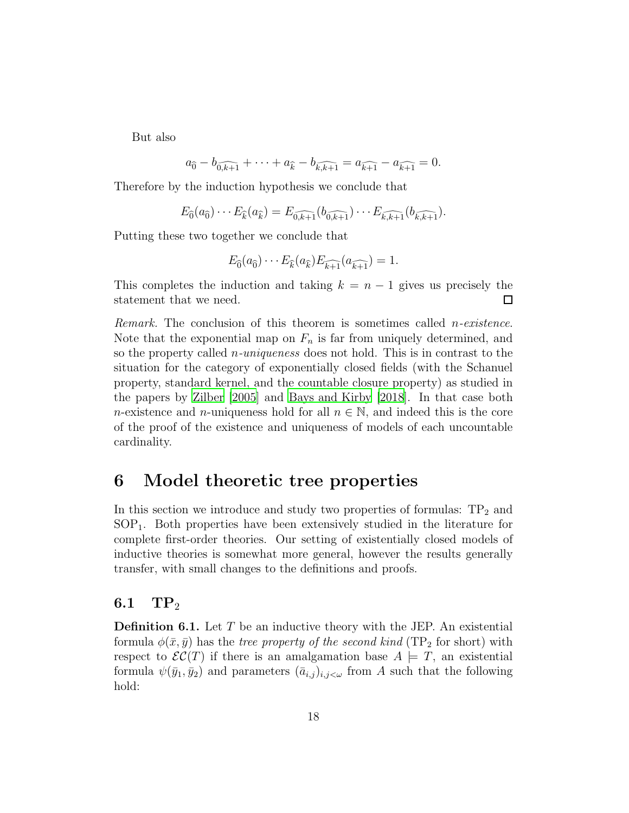But also

$$
a_{\widehat{0}} - b_{\widehat{0,k+1}} + \cdots + a_{\widehat{k}} - b_{\widehat{k,k+1}} = a_{\widehat{k+1}} - a_{\widehat{k+1}} = 0.
$$

Therefore by the induction hypothesis we conclude that

$$
E_{\widehat{0}}(a_{\widehat{0}})\cdots E_{\widehat{k}}(a_{\widehat{k}})=E_{\widehat{0,k+1}}(b_{\widehat{0,k+1}})\cdots E_{\widehat{k,k+1}}(b_{\widehat{k,k+1}}).
$$

Putting these two together we conclude that

$$
E_{\widehat{0}}(a_{\widehat{0}})\cdots E_{\widehat{k}}(a_{\widehat{k}})E_{\widehat{k+1}}(a_{\widehat{k+1}})=1.
$$

This completes the induction and taking  $k = n - 1$  gives us precisely the statement that we need.  $\Box$ 

*Remark.* The conclusion of this theorem is sometimes called n*-existence*. Note that the exponential map on  $F_n$  is far from uniquely determined, and so the property called n*-uniqueness* does not hold. This is in contrast to the situation for the category of exponentially closed fields (with the Schanuel property, standard kernel, and the countable closure property) as studied in the papers by [Zilber \[2005](#page-28-2)] and [Bays and Kirby \[2018](#page-27-7)]. In that case both n-existence and n-uniqueness hold for all  $n \in \mathbb{N}$ , and indeed this is the core of the proof of the existence and uniqueness of models of each uncountable cardinality.

### 6 Model theoretic tree properties

In this section we introduce and study two properties of formulas:  $TP_2$  and SOP1. Both properties have been extensively studied in the literature for complete first-order theories. Our setting of existentially closed models of inductive theories is somewhat more general, however the results generally transfer, with small changes to the definitions and proofs.

#### 6.1  $\text{TP}_2$

**Definition 6.1.** Let  $T$  be an inductive theory with the JEP. An existential formula  $\phi(\bar{x}, \bar{y})$  has the *tree property of the second kind* (TP<sub>2</sub> for short) with respect to  $\mathcal{EC}(T)$  if there is an amalgamation base  $A \models T$ , an existential formula  $\psi(\bar{y}_1, \bar{y}_2)$  and parameters  $(\bar{a}_{i,j})_{i,j<\omega}$  from A such that the following hold: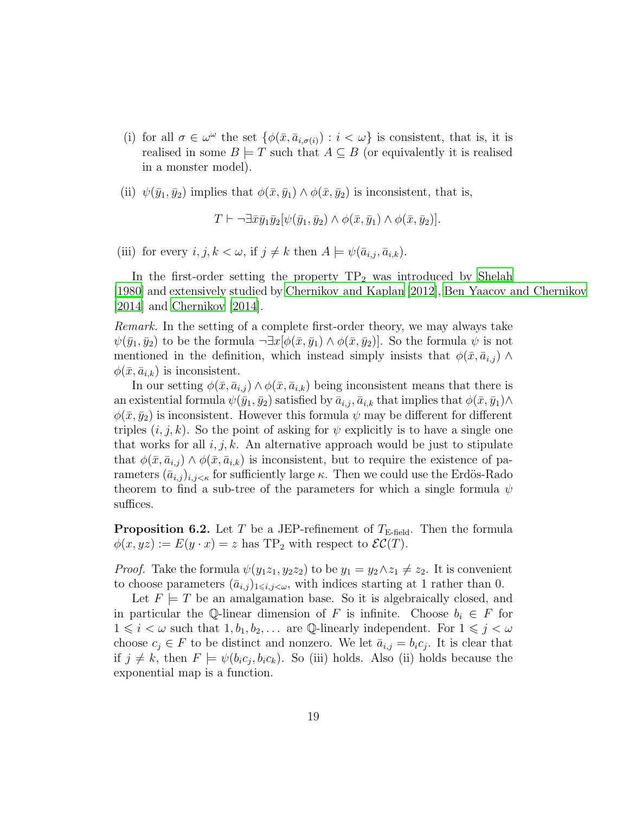- (i) for all  $\sigma \in \omega^{\omega}$  the set  $\{\phi(\bar{x}, \bar{a}_{i, \sigma(i)}) : i < \omega\}$  is consistent, that is, it is realised in some  $B \models T$  such that  $A \subseteq B$  (or equivalently it is realised in a monster model).
- (ii)  $\psi(\bar{y}_1, \bar{y}_2)$  implies that  $\phi(\bar{x}, \bar{y}_1) \wedge \phi(\bar{x}, \bar{y}_2)$  is inconsistent, that is,

 $T \vdash \neg \exists \bar{x} \bar{y}_1 \bar{y}_2[\psi(\bar{y}_1, \bar{y}_2) \wedge \phi(\bar{x}, \bar{y}_1) \wedge \phi(\bar{x}, \bar{y}_2)].$ 

(iii) for every  $i, j, k < \omega$ , if  $j \neq k$  then  $A \models \psi(\bar{a}_{i,j}, \bar{a}_{i,k}).$ 

In the first-order setting the property  $TP_2$  was introduced by [Shelah](#page-28-9) [\[1980\]](#page-28-9) and extensively studied by [Chernikov and Kaplan \[2012](#page-27-8)], [Ben Yaacov and Chernikov](#page-27-9) [\[2014\]](#page-27-9) and [Chernikov \[2014](#page-27-10)].

*Remark.* In the setting of a complete first-order theory, we may always take  $\psi(\bar{y}_1, \bar{y}_2)$  to be the formula  $\neg \exists x[\phi(\bar{x}, \bar{y}_1) \wedge \phi(\bar{x}, \bar{y}_2)]$ . So the formula  $\psi$  is not mentioned in the definition, which instead simply insists that  $\phi(\bar{x}, \bar{a}_{i,j}) \wedge$  $\phi(\bar{x}, \bar{a}_{i,k})$  is inconsistent.

In our setting  $\phi(\bar{x}, \bar{a}_{i,j}) \wedge \phi(\bar{x}, \bar{a}_{i,k})$  being inconsistent means that there is an existential formula  $\psi(\bar{y}_1, \bar{y}_2)$  satisfied by  $\bar{a}_{i,j}, \bar{a}_{i,k}$  that implies that  $\phi(\bar{x}, \bar{y}_1) \wedge$  $\phi(\bar{x}, \bar{y}_2)$  is inconsistent. However this formula  $\psi$  may be different for different triples  $(i, j, k)$ . So the point of asking for  $\psi$  explicitly is to have a single one that works for all  $i, j, k$ . An alternative approach would be just to stipulate that  $\phi(\bar{x}, \bar{a}_{i,j}) \wedge \phi(\bar{x}, \bar{a}_{i,k})$  is inconsistent, but to require the existence of parameters  $(\bar{a}_{i,j})_{i,j\leq \kappa}$  for sufficiently large  $\kappa$ . Then we could use the Erdös-Rado theorem to find a sub-tree of the parameters for which a single formula  $\psi$ suffices.

<span id="page-18-0"></span>**Proposition 6.2.** Let T be a JEP-refinement of  $T_{\text{E-field}}$ . Then the formula  $\phi(x,yz) := E(y \cdot x) = z$  has TP<sub>2</sub> with respect to  $\mathcal{EC}(T)$ .

*Proof.* Take the formula  $\psi(y_1z_1, y_2z_2)$  to be  $y_1 = y_2 \wedge z_1 \neq z_2$ . It is convenient to choose parameters  $(\bar{a}_{i,j})_{1\leq i,j\leq\omega}$ , with indices starting at 1 rather than 0.

Let  $F \models T$  be an amalgamation base. So it is algebraically closed, and in particular the Q-linear dimension of F is infinite. Choose  $b_i \in F$  for  $1 \leq i \leq \omega$  such that  $1, b_1, b_2, \ldots$  are Q-linearly independent. For  $1 \leq j \leq \omega$ choose  $c_j \in F$  to be distinct and nonzero. We let  $\bar{a}_{i,j} = b_i c_j$ . It is clear that if  $j \neq k$ , then  $F \models \psi(b_i c_j, b_i c_k)$ . So (iii) holds. Also (ii) holds because the exponential map is a function.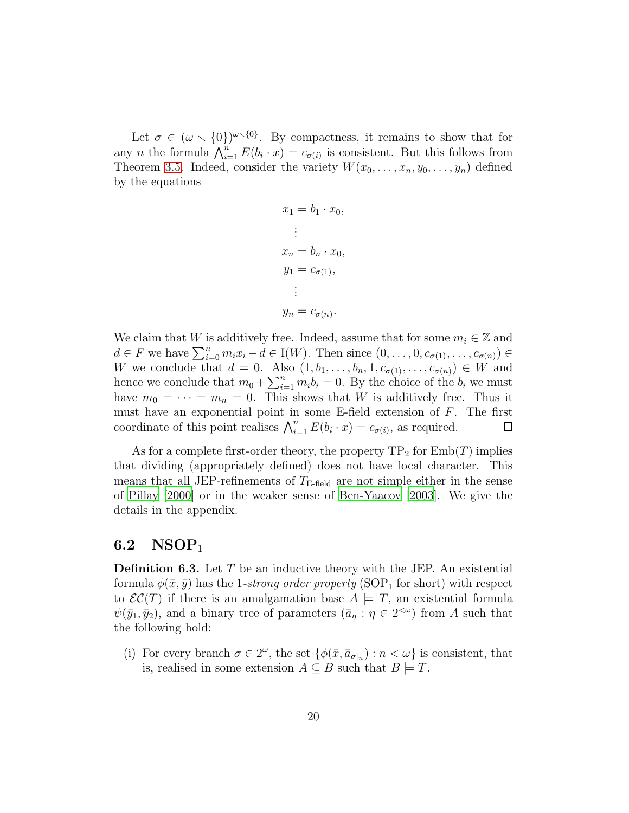Let  $\sigma \in (\omega \setminus \{0\})^{\omega \setminus \{0\}}$ . By compactness, it remains to show that for any *n* the formula  $\bigwedge_{i=1}^n E(b_i \cdot x) = c_{\sigma(i)}$  is consistent. But this follows from Theorem [3.5.](#page-9-0) Indeed, consider the variety  $W(x_0, \ldots, x_n, y_0, \ldots, y_n)$  defined by the equations

$$
x_1 = b_1 \cdot x_0,
$$
  
\n
$$
\vdots
$$
  
\n
$$
x_n = b_n \cdot x_0,
$$
  
\n
$$
y_1 = c_{\sigma(1)},
$$
  
\n
$$
\vdots
$$
  
\n
$$
y_n = c_{\sigma(n)}.
$$

We claim that W is additively free. Indeed, assume that for some  $m_i \in \mathbb{Z}$  and  $d \in F$  we have  $\sum_{i=0}^{n} m_i x_i - d \in I(W)$ . Then since  $(0, \ldots, 0, c_{\sigma(1)}, \ldots, c_{\sigma(n)}) \in$ W we conclude that  $d = 0$ . Also  $(1, b_1, \ldots, b_n, 1, c_{\sigma(1)}, \ldots, c_{\sigma(n)}) \in W$  and hence we conclude that  $m_0 + \sum_{i=1}^n m_i b_i = 0$ . By the choice of the  $b_i$  we must have  $m_0 = \cdots = m_n = 0$ . This shows that W is additively free. Thus it must have an exponential point in some E-field extension of F. The first coordinate of this point realises  $\bigwedge_{i=1}^{n} E(b_i \cdot x) = c_{\sigma(i)}$ , as required.  $\Box$ 

As for a complete first-order theory, the property  $TP_2$  for  $Emb(T)$  implies that dividing (appropriately defined) does not have local character. This means that all JEP-refinements of  $T_{\text{E-field}}$  are not simple either in the sense of [Pillay \[2000](#page-28-4)] or in the weaker sense of [Ben-Yaacov \[2003](#page-27-11)]. We give the details in the appendix.

#### 6.2  $NSOP<sub>1</sub>$

**Definition 6.3.** Let  $T$  be an inductive theory with the JEP. An existential formula  $\phi(\bar{x}, \bar{y})$  has the 1-strong order property (SOP<sub>1</sub> for short) with respect to  $\mathcal{EC}(T)$  if there is an amalgamation base  $A \models T$ , an existential formula  $\psi(\bar{y}_1, \bar{y}_2)$ , and a binary tree of parameters  $(\bar{a}_{\eta} : \eta \in 2^{<\omega})$  from A such that the following hold:

(i) For every branch  $\sigma \in 2^{\omega}$ , the set  $\{\phi(\bar{x}, \bar{a}_{\sigma|n}) : n < \omega\}$  is consistent, that is, realised in some extension  $A \subseteq B$  such that  $B \models T$ .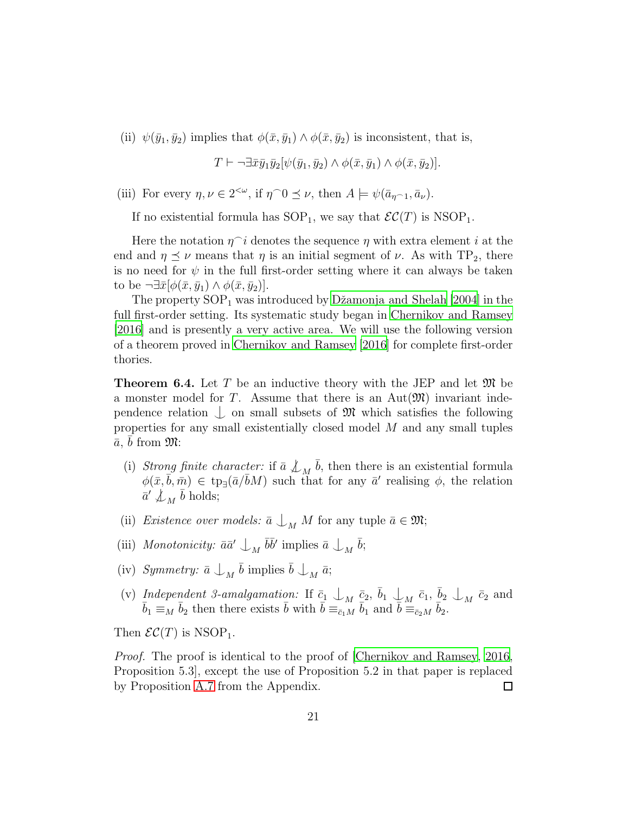(ii)  $\psi(\bar{y}_1, \bar{y}_2)$  implies that  $\phi(\bar{x}, \bar{y}_1) \wedge \phi(\bar{x}, \bar{y}_2)$  is inconsistent, that is,

$$
T \vdash \neg \exists \bar{x} \bar{y}_1 \bar{y}_2 [\psi(\bar{y}_1, \bar{y}_2) \land \phi(\bar{x}, \bar{y}_1) \land \phi(\bar{x}, \bar{y}_2)].
$$

(iii) For every  $\eta, \nu \in 2^{<\omega}$ , if  $\eta \cap 0 \leq \nu$ , then  $A \models \psi(\bar{a}_{\eta \cap 1}, \bar{a}_{\nu})$ .

If no existential formula has  $SOP_1$ , we say that  $\mathcal{EC}(T)$  is  $NSOP_1$ .

Here the notation  $\eta$ <sup> $\cap$ </sup> i denotes the sequence  $\eta$  with extra element i at the end and  $\eta \preceq \nu$  means that  $\eta$  is an initial segment of  $\nu$ . As with TP<sub>2</sub>, there is no need for  $\psi$  in the full first-order setting where it can always be taken to be  $\neg \exists \bar{x} [\phi(\bar{x}, \bar{y}_1) \wedge \phi(\bar{x}, \bar{y}_2)].$ 

The property  $SOP_1$  was introduced by Džamonja and Shelah [2004] in the full first-order setting. Its systematic study began in Chernikov [and Ramsey](#page-27-0) [\[2016\]](#page-27-0) and is presently a very active area. We will use the following version of a theorem proved in [Chernikov and Ramsey \[2016](#page-27-0)] for complete first-order thories.

<span id="page-20-0"></span>**Theorem 6.4.** Let T be an inductive theory with the JEP and let  $\mathfrak{M}$  be a monster model for T. Assume that there is an  $Aut(\mathfrak{M})$  invariant independence relation  $\bigcup$  on small subsets of M which satisfies the following properties for any small existentially closed model  $M$  and any small tuples  $\bar{a}, \, \bar{b}$  from  $\mathfrak{M}$ :

- (i) *Strong finite character:* if  $\bar{a} \nleq_M \bar{b}$ , then there is an existential formula  $\phi(\bar{x}, \bar{b}, \bar{m}) \in \text{tp}_{\exists}(\bar{a}/\bar{b}M)$  such that for any  $\bar{a}'$  realising  $\phi$ , the relation  $\bar{a}' \not\perp_M \bar{b} \text{ holds};$
- (ii) *Existence over models:*  $\bar{a} \perp_M M$  for any tuple  $\bar{a} \in \mathfrak{M}$ ;
- (iii) *Monotonicity:*  $\bar{a}\bar{a}' \perp_M \bar{b}\bar{b}'$  implies  $\bar{a} \perp_M \bar{b}$ ;
- (iv) Symmetry:  $\bar{a} \perp_M \bar{b}$  implies  $\bar{b} \perp_M \bar{a}$ ;
- (v) *Independent 3-amalgamation:* If  $\bar{c}_1 \perp_M \bar{c}_2$ ,  $\bar{b}_1 \perp_M \bar{c}_1$ ,  $\bar{b}_2 \perp_M \bar{c}_2$  and  $\bar{b}_1 \equiv_M \bar{b}_2$  then there exists  $\bar{b}$  with  $\bar{b} \equiv_{\bar{c}_1M} \bar{b}_1$  and  $\bar{b} \equiv_{\bar{c}_2M} \bar{b}_2$ .

Then  $\mathcal{EC}(T)$  is NSOP<sub>1</sub>.

*Proof.* The proof is identical to the proof of [\[Chernikov and Ramsey](#page-27-0), [2016](#page-27-0), Proposition 5.3], except the use of Proposition 5.2 in that paper is replaced by Proposition [A.7](#page-25-0) from the Appendix.  $\Box$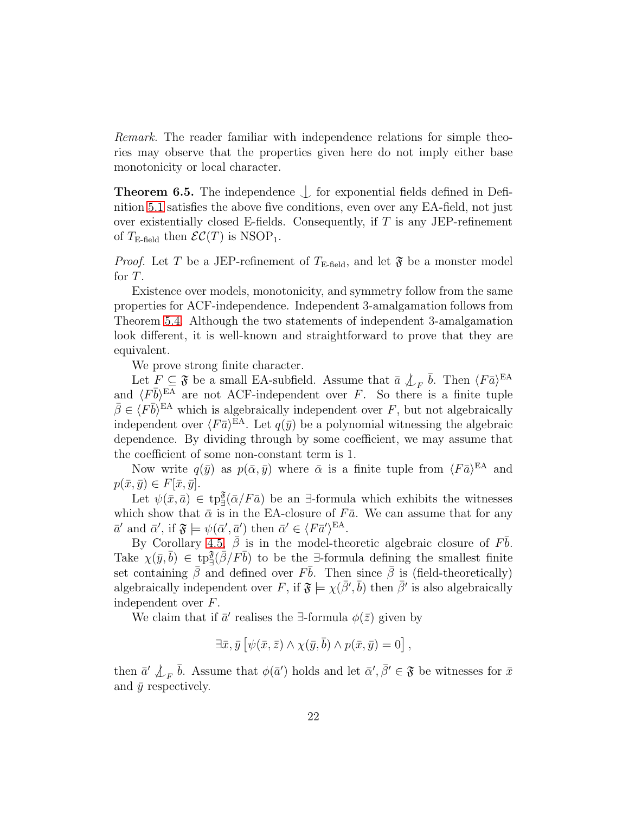*Remark.* The reader familiar with independence relations for simple theories may observe that the properties given here do not imply either base monotonicity or local character.

<span id="page-21-0"></span>**Theorem 6.5.** The independence  $\int$  for exponential fields defined in Definition [5.1](#page-14-0) satisfies the above five conditions, even over any EA-field, not just over existentially closed E-fields. Consequently, if  $T$  is any JEP-refinement of  $T_{\text{E-field}}$  then  $\mathcal{EC}(T)$  is NSOP<sub>1</sub>.

*Proof.* Let T be a JEP-refinement of  $T_{\text{E-field}}$ , and let  $\mathfrak{F}$  be a monster model for T.

Existence over models, monotonicity, and symmetry follow from the same properties for ACF-independence. Independent 3-amalgamation follows from Theorem [5.4.](#page-16-0) Although the two statements of independent 3-amalgamation look different, it is well-known and straightforward to prove that they are equivalent.

We prove strong finite character.

Let  $F \subseteq \mathfrak{F}$  be a small EA-subfield. Assume that  $\bar{a} \nleq_F \bar{b}$ . Then  $\langle F \bar{a} \rangle^{\text{EA}}$ and  $\langle F\bar{b}\rangle^{\text{EA}}$  are not ACF-independent over F. So there is a finite tuple  $\bar{\beta} \in \langle F\bar{b}\rangle^{\text{EA}}$  which is algebraically independent over F, but not algebraically independent over  $\langle F \bar{a} \rangle^{\text{EA}}$ . Let  $q(\bar{y})$  be a polynomial witnessing the algebraic dependence. By dividing through by some coefficient, we may assume that the coefficient of some non-constant term is 1.

Now write  $q(\bar{y})$  as  $p(\bar{\alpha}, \bar{y})$  where  $\bar{\alpha}$  is a finite tuple from  $\langle F \bar{a} \rangle^{\text{EA}}$  and  $p(\bar{x}, \bar{y}) \in F[\bar{x}, \bar{y}].$ 

Let  $\psi(\bar{x}, \bar{a}) \in \text{tp}_{\exists}^{\mathfrak{F}}(\bar{\alpha}/F\bar{a})$  be an  $\exists$ -formula which exhibits the witnesses which show that  $\bar{\alpha}$  is in the EA-closure of F $\bar{a}$ . We can assume that for any  $\bar{a}'$  and  $\bar{\alpha}'$ , if  $\mathfrak{F} \models \psi(\bar{\alpha}', \bar{a}')$  then  $\bar{\alpha}' \in \langle F \bar{a}' \rangle^{\text{EA}}$ .

By Corollary [4.5,](#page-13-0)  $\bar{\beta}$  is in the model-theoretic algebraic closure of  $F\bar{b}$ . Take  $\chi(\bar{y}, \bar{b}) \in \text{tp}_{\exists}^{\mathfrak{F}}(\bar{\beta}/F\bar{b})$  to be the  $\exists$ -formula defining the smallest finite set containing  $\bar{\beta}$  and defined over  $F\bar{b}$ . Then since  $\bar{\beta}$  is (field-theoretically) algebraically independent over F, if  $\mathfrak{F} \models \chi(\bar{\beta}', \bar{b})$  then  $\bar{\beta}'$  is also algebraically independent over F.

We claim that if  $\bar{a}'$  realises the ∃-formula  $\phi(\bar{z})$  given by

$$
\exists \bar{x}, \bar{y} \left[ \psi(\bar{x}, \bar{z}) \wedge \chi(\bar{y}, \bar{b}) \wedge p(\bar{x}, \bar{y}) = 0 \right],
$$

then  $\bar{a}' \not\perp_F \bar{b}$ . Assume that  $\phi(\bar{a}')$  holds and let  $\bar{\alpha}', \bar{\beta}' \in \mathfrak{F}$  be witnesses for  $\bar{x}$ and  $\bar{y}$  respectively.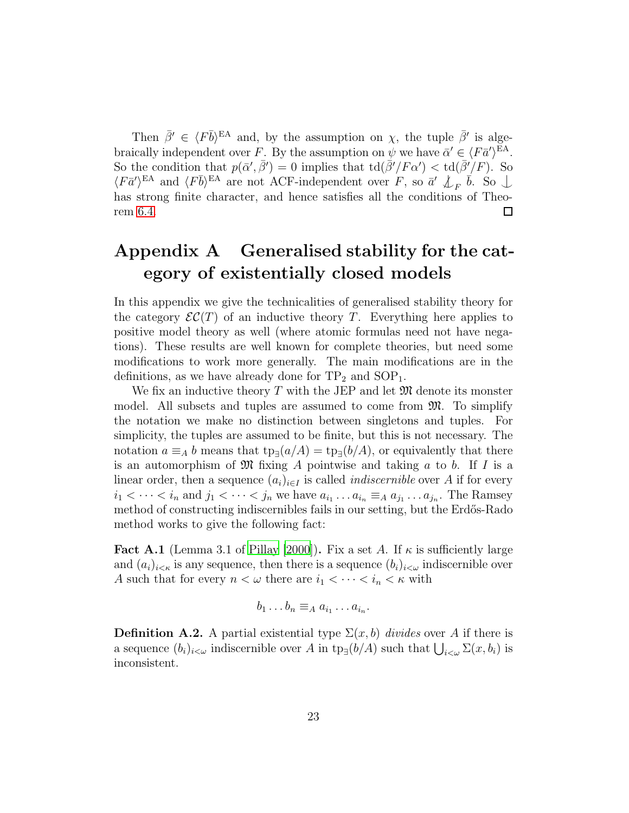Then  $\bar{\beta}' \in \langle F\bar{b}\rangle^{\text{EA}}$  and, by the assumption on  $\chi$ , the tuple  $\bar{\beta}'$  is algebraically independent over F. By the assumption on  $\psi$  we have  $\bar{\alpha}' \in \langle F \bar{a}' \rangle^{\text{EA}}$ . So the condition that  $p(\bar{\alpha}', \bar{\beta}') = 0$  implies that  $\text{td}(\bar{\beta}'/F\alpha') < \text{td}(\bar{\beta}'/F)$ . So  $\langle F\bar{a}'\rangle^{EA}$  and  $\langle F\bar{b}\rangle^{EA}$  are not ACF-independent over F, so  $\bar{a}' \not\perp_F \bar{b}$ . So  $\perp$ has strong finite character, and hence satisfies all the conditions of Theorem [6.4.](#page-20-0) □

## Appendix A Generalised stability for the category of existentially closed models

In this appendix we give the technicalities of generalised stability theory for the category  $\mathcal{EC}(T)$  of an inductive theory T. Everything here applies to positive model theory as well (where atomic formulas need not have negations). These results are well known for complete theories, but need some modifications to work more generally. The main modifications are in the definitions, as we have already done for  $TP_2$  and  $SOP_1$ .

We fix an inductive theory  $T$  with the JEP and let  $\mathfrak{M}$  denote its monster model. All subsets and tuples are assumed to come from M. To simplify the notation we make no distinction between singletons and tuples. For simplicity, the tuples are assumed to be finite, but this is not necessary. The notation  $a \equiv_A b$  means that  $tp_{\exists}(a/A) = tp_{\exists}(b/A)$ , or equivalently that there is an automorphism of  $\mathfrak{M}$  fixing A pointwise and taking a to b. If I is a linear order, then a sequence  $(a_i)_{i\in I}$  is called *indiscernible* over A if for every  $i_1 < \cdots < i_n$  and  $j_1 < \cdots < j_n$  we have  $a_{i_1} \ldots a_{i_n} \equiv_A a_{j_1} \ldots a_{j_n}$ . The Ramsey method of constructing indiscernibles fails in our setting, but the Erdős-Rado method works to give the following fact:

<span id="page-22-0"></span>**Fact A.1** (Lemma 3.1 of [Pillay \[2000\]](#page-28-4)). Fix a set A. If  $\kappa$  is sufficiently large and  $(a_i)_{i \leq \kappa}$  is any sequence, then there is a sequence  $(b_i)_{i \leq \omega}$  indiscernible over A such that for every  $n < \omega$  there are  $i_1 < \cdots < i_n < \kappa$  with

$$
b_1 \ldots b_n \equiv_A a_{i_1} \ldots a_{i_n}.
$$

**Definition A.2.** A partial existential type  $\Sigma(x, b)$  *divides* over A if there is a sequence  $(b_i)_{i\leq \omega}$  indiscernible over A in  $\text{tp}_{\exists}(b/A)$  such that  $\bigcup_{i\leq \omega}\Sigma(x, b_i)$  is inconsistent.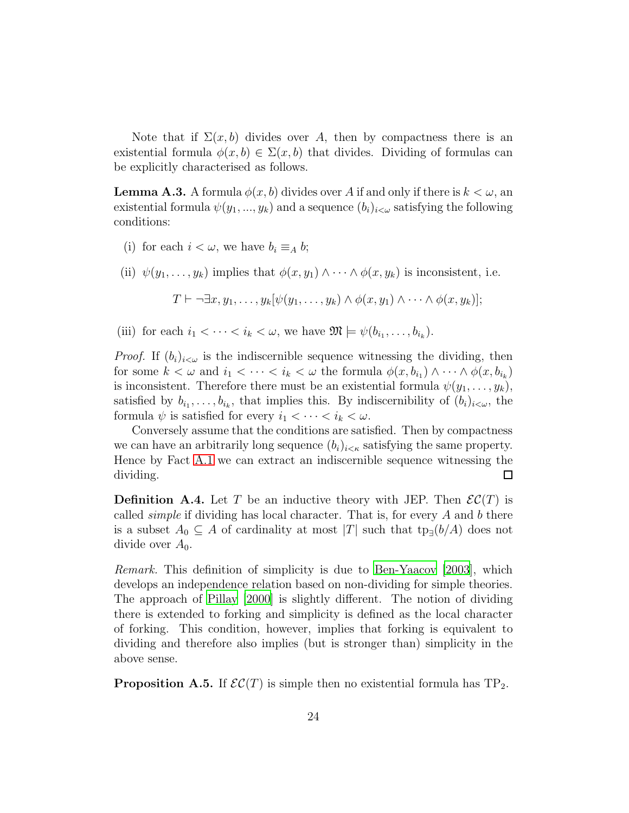Note that if  $\Sigma(x, b)$  divides over A, then by compactness there is an existential formula  $\phi(x, b) \in \Sigma(x, b)$  that divides. Dividing of formulas can be explicitly characterised as follows.

**Lemma A.3.** A formula  $\phi(x, b)$  divides over A if and only if there is  $k < \omega$ , an existential formula  $\psi(y_1, ..., y_k)$  and a sequence  $(b_i)_{i \leq \omega}$  satisfying the following conditions:

- (i) for each  $i < \omega$ , we have  $b_i \equiv_A b$ ;
- (ii)  $\psi(y_1, \ldots, y_k)$  implies that  $\phi(x, y_1) \wedge \cdots \wedge \phi(x, y_k)$  is inconsistent, i.e.

$$
T \vdash \neg \exists x, y_1, \ldots, y_k [\psi(y_1, \ldots, y_k) \land \phi(x, y_1) \land \cdots \land \phi(x, y_k)];
$$

(iii) for each  $i_1 < \cdots < i_k < \omega$ , we have  $\mathfrak{M} \models \psi(b_{i_1}, \ldots, b_{i_k}).$ 

*Proof.* If  $(b_i)_{i < \omega}$  is the indiscernible sequence witnessing the dividing, then for some  $k < \omega$  and  $i_1 < \cdots < i_k < \omega$  the formula  $\phi(x, b_{i_1}) \wedge \cdots \wedge \phi(x, b_{i_k})$ is inconsistent. Therefore there must be an existential formula  $\psi(y_1, \ldots, y_k)$ , satisfied by  $b_{i_1}, \ldots, b_{i_k}$ , that implies this. By indiscernibility of  $(b_i)_{i \lt \omega}$ , the formula  $\psi$  is satisfied for every  $i_1 < \cdots < i_k < \omega$ .

Conversely assume that the conditions are satisfied. Then by compactness we can have an arbitrarily long sequence  $(b_i)_{i \leq \kappa}$  satisfying the same property. Hence by Fact [A.1](#page-22-0) we can extract an indiscernible sequence witnessing the dividing.  $\Box$ 

**Definition A.4.** Let T be an inductive theory with JEP. Then  $\mathcal{EC}(T)$  is called *simple* if dividing has local character. That is, for every A and b there is a subset  $A_0 \subseteq A$  of cardinality at most |T| such that  $tp_{\exists}(b/A)$  does not divide over  $A_0$ .

*Remark.* This definition of simplicity is due to [Ben-Yaacov \[2003](#page-27-11)], which develops an independence relation based on non-dividing for simple theories. The approach of [Pillay \[2000](#page-28-4)] is slightly different. The notion of dividing there is extended to forking and simplicity is defined as the local character of forking. This condition, however, implies that forking is equivalent to dividing and therefore also implies (but is stronger than) simplicity in the above sense.

**Proposition A.5.** If  $\mathcal{EC}(T)$  is simple then no existential formula has  $TP_2$ .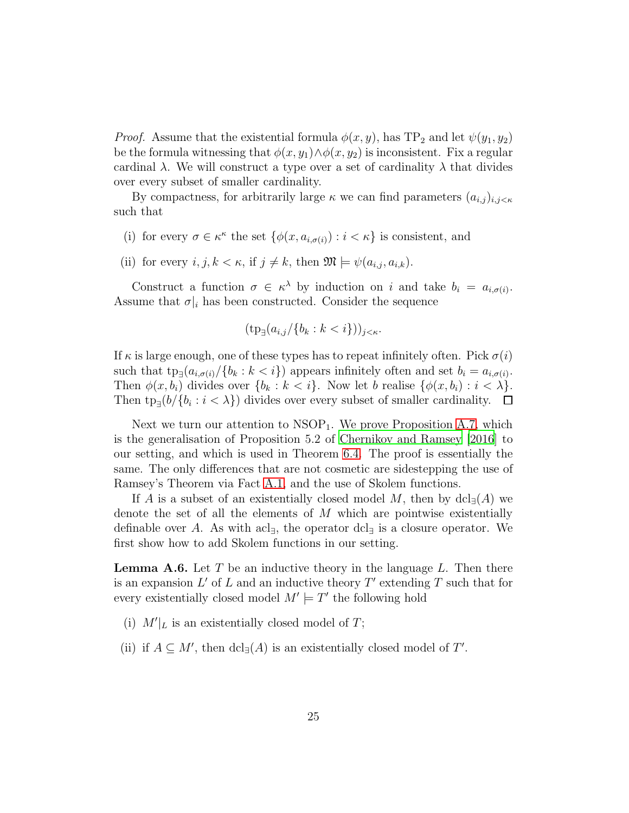*Proof.* Assume that the existential formula  $\phi(x, y)$ , has TP<sub>2</sub> and let  $\psi(y_1, y_2)$ be the formula witnessing that  $\phi(x, y_1) \wedge \phi(x, y_2)$  is inconsistent. Fix a regular cardinal  $\lambda$ . We will construct a type over a set of cardinality  $\lambda$  that divides over every subset of smaller cardinality.

By compactness, for arbitrarily large  $\kappa$  we can find parameters  $(a_{i,j})_{i,j \leq \kappa}$ such that

- (i) for every  $\sigma \in \kappa^{\kappa}$  the set  $\{\phi(x, a_{i, \sigma(i)}) : i < \kappa\}$  is consistent, and
- (ii) for every  $i, j, k < \kappa$ , if  $j \neq k$ , then  $\mathfrak{M} \models \psi(a_{i,j}, a_{i,k}).$

Construct a function  $\sigma \in \kappa^{\lambda}$  by induction on i and take  $b_i = a_{i,\sigma(i)}$ . Assume that  $\sigma|_i$  has been constructed. Consider the sequence

$$
(\operatorname{tp}_{\exists}(a_{i,j}/\{b_k : k < i\}))_{j < \kappa}.
$$

If  $\kappa$  is large enough, one of these types has to repeat infinitely often. Pick  $\sigma(i)$ such that  $tp_{\exists}(a_{i,\sigma(i)}/\{b_k : k < i\})$  appears infinitely often and set  $b_i = a_{i,\sigma(i)}$ . Then  $\phi(x, b_i)$  divides over  $\{b_k : k < i\}$ . Now let b realise  $\{\phi(x, b_i) : i < \lambda\}$ . Then  $tp_{\exists}(b/\{b_i : i < \lambda\})$  divides over every subset of smaller cardinality.

Next we turn our attention to  $NSOP<sub>1</sub>$ . We prove Proposition [A.7,](#page-25-0) which is the generalisation of Proposition 5.2 of [Chernikov and Ramsey \[2016](#page-27-0)] to our setting, and which is used in Theorem [6.4.](#page-20-0) The proof is essentially the same. The only differences that are not cosmetic are sidestepping the use of Ramsey's Theorem via Fact [A.1,](#page-22-0) and the use of Skolem functions.

If A is a subset of an existentially closed model M, then by  $dcl_{\exists}(A)$  we denote the set of all the elements of  $M$  which are pointwise existentially definable over A. As with acl<sub>∃</sub>, the operator dcl<sub>∃</sub> is a closure operator. We first show how to add Skolem functions in our setting.

<span id="page-24-0"></span>**Lemma A.6.** Let  $T$  be an inductive theory in the language  $L$ . Then there is an expansion  $L'$  of  $L$  and an inductive theory  $T'$  extending  $T$  such that for every existentially closed model  $M' \models T'$  the following hold

- (i)  $M'|_L$  is an existentially closed model of T;
- (ii) if  $A \subseteq M'$ , then  $dcl_{\exists}(A)$  is an existentially closed model of T'.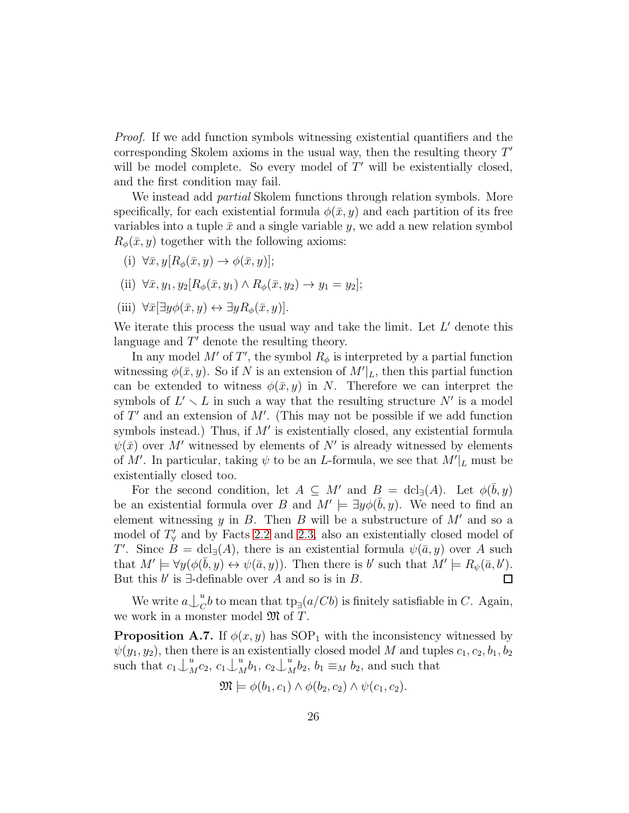*Proof.* If we add function symbols witnessing existential quantifiers and the corresponding Skolem axioms in the usual way, then the resulting theory  $T'$ will be model complete. So every model of  $T'$  will be existentially closed, and the first condition may fail.

We instead add *partial* Skolem functions through relation symbols. More specifically, for each existential formula  $\phi(\bar{x}, y)$  and each partition of its free variables into a tuple  $\bar{x}$  and a single variable y, we add a new relation symbol  $R_{\phi}(\bar{x}, y)$  together with the following axioms:

- (i)  $\forall \bar{x}, y [R_{\phi}(\bar{x}, y) \rightarrow \phi(\bar{x}, y)];$
- (ii)  $\forall \bar{x}, y_1, y_2 [R_{\phi}(\bar{x}, y_1) \wedge R_{\phi}(\bar{x}, y_2) \rightarrow y_1 = y_2];$
- (iii)  $\forall \bar{x} \left[ \exists y \phi(\bar{x}, y) \leftrightarrow \exists y R_{\phi}(\bar{x}, y) \right].$

We iterate this process the usual way and take the limit. Let  $L'$  denote this language and  $T'$  denote the resulting theory.

In any model M' of T', the symbol  $R_{\phi}$  is interpreted by a partial function witnessing  $\phi(\bar{x}, y)$ . So if N is an extension of  $M'|_L$ , then this partial function can be extended to witness  $\phi(\bar{x}, y)$  in N. Therefore we can interpret the symbols of  $L' \setminus L$  in such a way that the resulting structure N' is a model of  $T'$  and an extension of  $M'$ . (This may not be possible if we add function symbols instead.) Thus, if  $M'$  is existentially closed, any existential formula  $\psi(\bar{x})$  over M' witnessed by elements of N' is already witnessed by elements of M'. In particular, taking  $\psi$  to be an L-formula, we see that  $M'|_L$  must be existentially closed too.

For the second condition, let  $A \subseteq M'$  and  $B = \text{dcl}_{\exists}(A)$ . Let  $\phi(\bar{b}, y)$ be an existential formula over B and  $M' \models \exists y \phi(\bar{b}, y)$ . We need to find an element witnessing  $y$  in  $B$ . Then  $B$  will be a substructure of  $M'$  and so a model of  $T'_{\forall}$  and by Facts [2.2](#page-3-0) and [2.3,](#page-4-0) also an existentially closed model of T'. Since  $B = \text{dcl}_{\exists}(A)$ , there is an existential formula  $\psi(\bar{a}, y)$  over A such that  $M' \models \forall y (\phi(\bar{b}, y) \leftrightarrow \psi(\bar{a}, y))$ . Then there is b' such that  $M' \models R_{\psi}(\bar{a}, b')$ . But this  $b'$  is  $\exists$ -definable over A and so is in B.  $\Box$ 

We write  $a\bigcup_{C}^{u}$  $_{C}^{a}b$  to mean that  $\text{tp}_{\exists}(a/Cb)$  is finitely satisfiable in C. Again, we work in a monster model  $\mathfrak{M}$  of T.

<span id="page-25-0"></span>**Proposition A.7.** If  $\phi(x, y)$  has SOP<sub>1</sub> with the inconsistency witnessed by  $\psi(y_1, y_2)$ , then there is an existentially closed model M and tuples  $c_1, c_2, b_1, b_2$ such that  $c_1 \downarrow_{\Lambda}^u$  $u_M^u c_2, c_1 \bigcup_{\Lambda}^u$  $u_M^u b_1, c_2 \bigcup_{\Lambda}^u$  $_{M}^{u}b_2$ ,  $b_1 \equiv_M b_2$ , and such that

$$
\mathfrak{M} \models \phi(b_1, c_1) \land \phi(b_2, c_2) \land \psi(c_1, c_2).
$$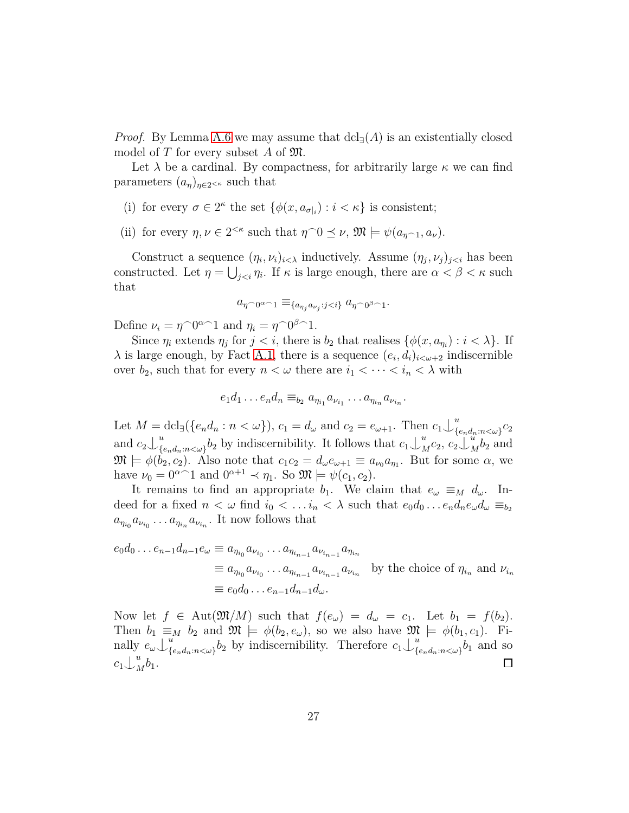*Proof.* By Lemma [A.6](#page-24-0) we may assume that  $dcl_{\exists}(A)$  is an existentially closed model of  $T$  for every subset  $A$  of  $\mathfrak{M}$ .

Let  $\lambda$  be a cardinal. By compactness, for arbitrarily large  $\kappa$  we can find parameters  $(a_n)_{n \in 2 \leq \kappa}$  such that

- (i) for every  $\sigma \in 2^{\kappa}$  the set  $\{\phi(x, a_{\sigma|i}) : i < \kappa\}$  is consistent;
- (ii) for every  $\eta, \nu \in 2^{<\kappa}$  such that  $\eta \cap 0 \leq \nu$ ,  $\mathfrak{M} \models \psi(a_{\eta \cap 1}, a_{\nu})$ .

Construct a sequence  $(\eta_i, \nu_i)_{i \leq \lambda}$  inductively. Assume  $(\eta_j, \nu_j)_{j \leq i}$  has been constructed. Let  $\eta = \bigcup_{j < i} \eta_i$ . If  $\kappa$  is large enough, there are  $\alpha < \beta < \kappa$  such that

$$
a_{\eta \cap 0^{\alpha-1}} \equiv_{\{a_{\eta_j} a_{\nu_j} : j < i\}} a_{\eta \cap 0^{\beta-1}}.
$$

Define  $\nu_i = \eta^0 \theta^{\alpha-1}$  and  $\eta_i = \eta^0 \theta^{\beta-1}$ .

Since  $\eta_i$  extends  $\eta_j$  for  $j < i$ , there is  $b_2$  that realises  $\{\phi(x, a_{\eta_i}) : i < \lambda\}$ . If  $\lambda$  is large enough, by Fact [A.1,](#page-22-0) there is a sequence  $(e_i, d_i)_{i < \omega+2}$  indiscernible over  $b_2$ , such that for every  $n < \omega$  there are  $i_1 < \cdots < i_n < \lambda$  with

$$
e_1d_1 \ldots e_nd_n \equiv_{b_2} a_{\eta_{i_1}} a_{\nu_{i_1}} \ldots a_{\eta_{i_n}} a_{\nu_{i_n}}.
$$

Let  $M = \text{dcl}_{\exists}(\{e_n d_n : n < \omega\}), c_1 = d_{\omega} \text{ and } c_2 = e_{\omega+1}$ . Then  $c_1 \bigcup_{\{e_n \leq \omega \}} a_n$  $_{\{e_n d_n : n < \omega\}}^{\omega}$ and  $c_2\bigcup_{\{w\}} u$  $_{\{e_n d_n : n < \omega\}}^{u} b_2$  by indiscernibility. It follows that  $c_1 \downarrow_{\Lambda}^{u}$  $\stackrel{u}{M}c_2,\stackrel{u}{c_2}\stackrel{u}{\downarrow}$  $\frac{u}{M}b_2$  and  $\mathfrak{M} \models \phi(b_2, c_2)$ . Also note that  $c_1 c_2 = d_{\omega} e_{\omega+1} \equiv a_{\nu} a_{\eta_1}$ . But for some  $\alpha$ , we have  $\nu_0 = 0^{\alpha - 1}$  and  $0^{\alpha + 1} \prec \eta_1$ . So  $\mathfrak{M} \models \psi(c_1, c_2)$ .

It remains to find an appropriate  $b_1$ . We claim that  $e_{\omega} \equiv_M d_{\omega}$ . Indeed for a fixed  $n < \omega$  find  $i_0 < \ldots i_n < \lambda$  such that  $e_0d_0 \ldots e_n d_n e_\omega d_\omega \equiv_{b_2}$  $a_{\eta_{i_0}} a_{\nu_{i_0}} \dots a_{\eta_{i_n}} a_{\nu_{i_n}}$ . It now follows that

$$
e_0 d_0 \dots e_{n-1} d_{n-1} e_\omega \equiv a_{\eta_{i_0}} a_{\nu_{i_0}} \dots a_{\eta_{i_{n-1}}} a_{\nu_{i_{n-1}}} a_{\eta_{i_n}}
$$
  
\n
$$
\equiv a_{\eta_{i_0}} a_{\nu_{i_0}} \dots a_{\eta_{i_{n-1}}} a_{\nu_{i_{n-1}}} a_{\nu_{i_n}}
$$
 by the choice of  $\eta_{i_n}$  and  $\nu_{i_n}$   
\n
$$
\equiv e_0 d_0 \dots e_{n-1} d_{n-1} d_\omega.
$$

Now let  $f \in Aut(\mathfrak{M}/M)$  such that  $f(e_\omega) = d_\omega = c_1$ . Let  $b_1 = f(b_2)$ . Then  $b_1 \equiv_M b_2$  and  $\mathfrak{M} \models \phi(b_2, e_\omega)$ , so we also have  $\mathfrak{M} \models \phi(b_1, c_1)$ . Finally  $e_{\omega}\bigcup_{\{u\}}^u$  $\sum_{\{e_n d_n : n < \omega\}} b_2$  by indiscernibility. Therefore  $c_1 \bigcup_{\{e_n \leq \omega\}} u$  $_{\{e_nd_n:n<\omega\}}^a b_1$  and so  $c_1\bigcup_{\Lambda}^u$  $\int_M^a b_1.$  $\Box$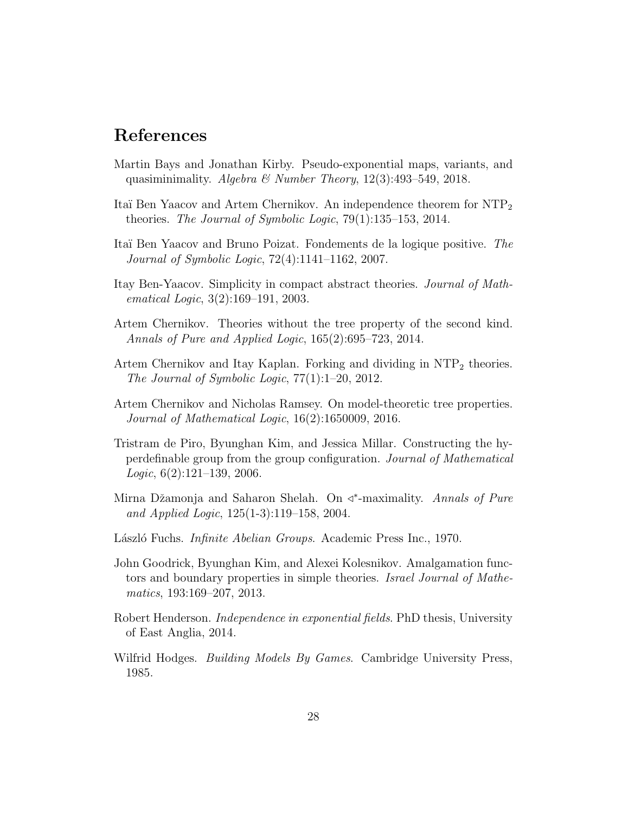### References

- <span id="page-27-7"></span>Martin Bays and Jonathan Kirby. Pseudo-exponential maps, variants, and quasiminimality. *Algebra & Number Theory*, 12(3):493–549, 2018.
- <span id="page-27-9"></span>Itaï Ben Yaacov and Artem Chernikov. An independence theorem for NTP<sub>2</sub> theories. *The Journal of Symbolic Logic*, 79(1):135–153, 2014.
- <span id="page-27-1"></span>Ita¨ı Ben Yaacov and Bruno Poizat. Fondements de la logique positive. *The Journal of Symbolic Logic*, 72(4):1141–1162, 2007.
- <span id="page-27-11"></span>Itay Ben-Yaacov. Simplicity in compact abstract theories. *Journal of Mathematical Logic*, 3(2):169–191, 2003.
- <span id="page-27-10"></span>Artem Chernikov. Theories without the tree property of the second kind. *Annals of Pure and Applied Logic*, 165(2):695–723, 2014.
- <span id="page-27-8"></span>Artem Chernikov and Itay Kaplan. Forking and dividing in  $NTP_2$  theories. *The Journal of Symbolic Logic*, 77(1):1–20, 2012.
- <span id="page-27-0"></span>Artem Chernikov and Nicholas Ramsey. On model-theoretic tree properties. *Journal of Mathematical Logic*, 16(2):1650009, 2016.
- <span id="page-27-6"></span>Tristram de Piro, Byunghan Kim, and Jessica Millar. Constructing the hyperdefinable group from the group configuration. *Journal of Mathematical Logic*, 6(2):121–139, 2006.
- <span id="page-27-12"></span>Mirna Džamonja and Saharon Shelah. On <<sup>\*</sup>-maximality. *Annals of Pure and Applied Logic*, 125(1-3):119–158, 2004.
- <span id="page-27-3"></span>L´aszl´o Fuchs. *Infinite Abelian Groups*. Academic Press Inc., 1970.
- <span id="page-27-5"></span>John Goodrick, Byunghan Kim, and Alexei Kolesnikov. Amalgamation functors and boundary properties in simple theories. *Israel Journal of Mathematics*, 193:169–207, 2013.
- <span id="page-27-4"></span>Robert Henderson. *Independence in exponential fields*. PhD thesis, University of East Anglia, 2014.
- <span id="page-27-2"></span>Wilfrid Hodges. *Building Models By Games*. Cambridge University Press, 1985.